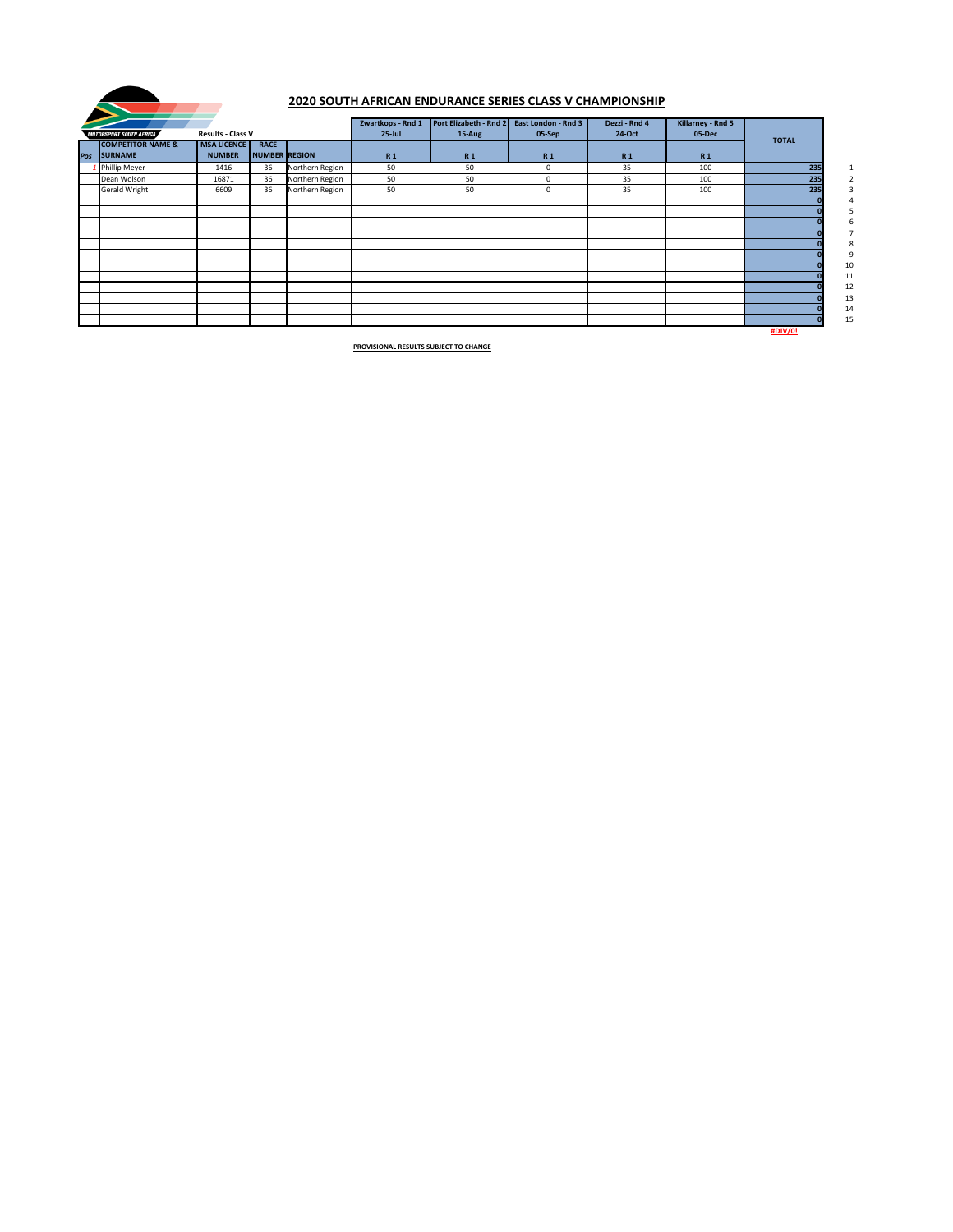|                                |                          |                      |                 | Zwartkops - Rnd 1 | Port Elizabeth - Rnd 2 | East London - Rnd 3 | Dezzi - Rnd 4  | Killarney - Rnd 5 |                |              |
|--------------------------------|--------------------------|----------------------|-----------------|-------------------|------------------------|---------------------|----------------|-------------------|----------------|--------------|
| <b>MOTORSPORT SOUTH AFRICA</b> | <b>Results - Class V</b> |                      |                 | $25$ -Jul         | 15-Aug                 | 05-Sep              | 24-Oct         | 05-Dec            | <b>TOTAL</b>   |              |
| <b>COMPETITOR NAME &amp;</b>   | <b>MSA LICENCE</b>       | <b>RACE</b>          |                 |                   |                        |                     |                |                   |                |              |
| Pos SURNAME                    | <b>NUMBER</b>            | <b>NUMBER REGION</b> |                 | <b>R1</b>         | <b>R1</b>              | <b>R1</b>           | R <sub>1</sub> | <b>R1</b>         |                |              |
| 1 Phillip Meyer                | 1416                     | 36                   | Northern Region | 50                | 50                     | 0                   | 35             | 100               | 235            | $\mathbf{1}$ |
| Dean Wolson                    | 16871                    | 36                   | Northern Region | 50                | 50                     | $\mathbf{0}$        | 35             | 100               | 235            |              |
| <b>Gerald Wright</b>           | 6609                     | 36                   | Northern Region | 50                | 50                     | 0                   | 35             | 100               | 235            |              |
|                                |                          |                      |                 |                   |                        |                     |                |                   |                |              |
|                                |                          |                      |                 |                   |                        |                     |                |                   |                |              |
|                                |                          |                      |                 |                   |                        |                     |                |                   |                |              |
|                                |                          |                      |                 |                   |                        |                     |                |                   |                |              |
|                                |                          |                      |                 |                   |                        |                     |                |                   |                |              |
|                                |                          |                      |                 |                   |                        |                     |                |                   |                |              |
|                                |                          |                      |                 |                   |                        |                     |                |                   |                | 10           |
|                                |                          |                      |                 |                   |                        |                     |                |                   |                | 11           |
|                                |                          |                      |                 |                   |                        |                     |                |                   |                | 12           |
|                                |                          |                      |                 |                   |                        |                     |                |                   |                | 13           |
|                                |                          |                      |                 |                   |                        |                     |                |                   |                | 14           |
|                                |                          |                      |                 |                   |                        |                     |                |                   |                | 15           |
|                                |                          |                      |                 |                   |                        |                     |                |                   | <b>#DIV/0!</b> |              |



# **2020 SOUTH AFRICAN ENDURANCE SERIES CLASS V CHAMPIONSHIP**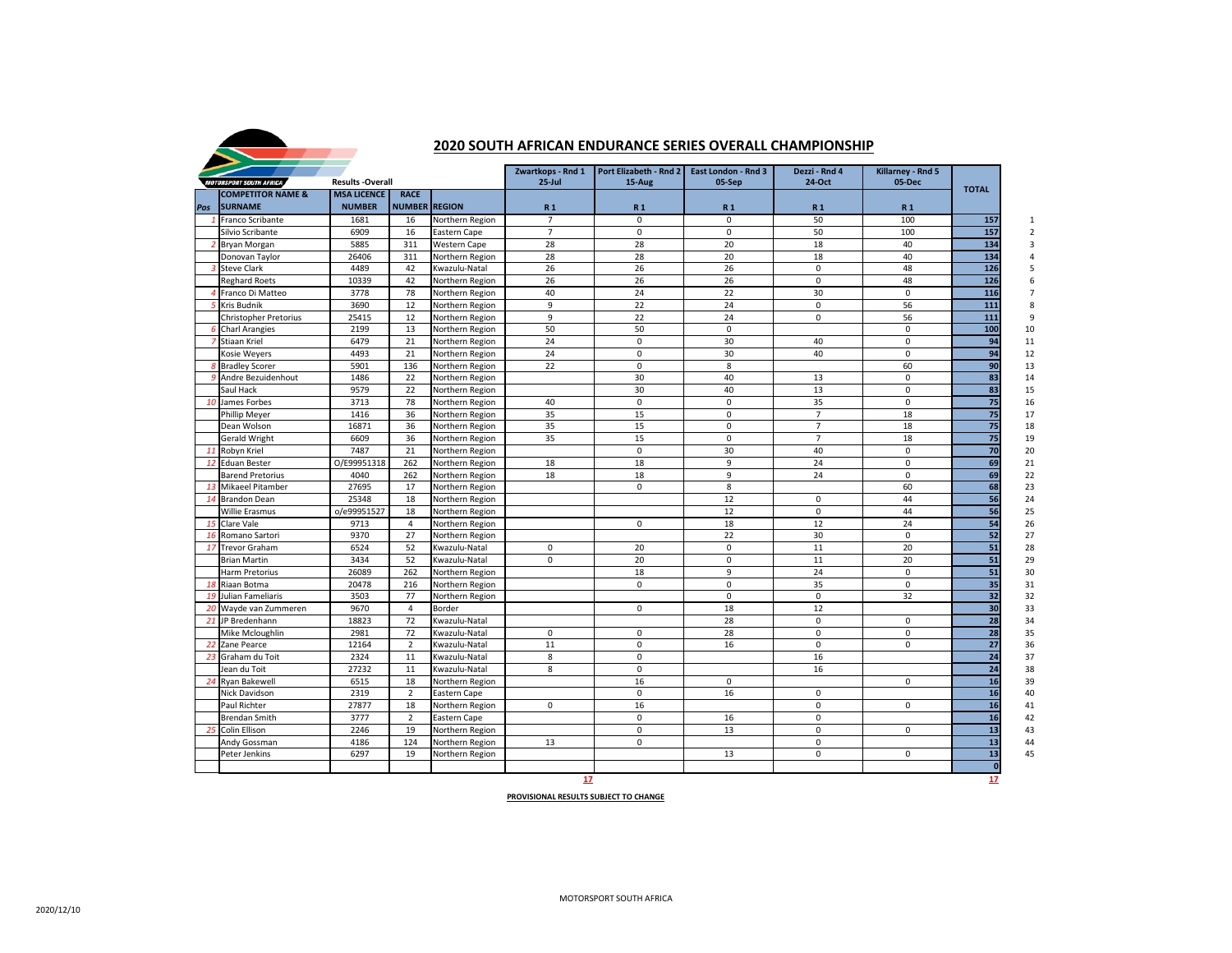|     | <b>MOTORSPORT SOUTH AFRICA</b>          | <b>Results -Overall</b> |                      |                                    | Zwartkops - Rnd 1<br>$25$ -Jul | <b>Port Elizabeth - Rnd 2</b><br>15-Aug | <b>East London - Rnd 3</b><br>05-Sep | Dezzi - Rnd 4<br>24-Oct | Killarney - Rnd 5<br>05-Dec |              |
|-----|-----------------------------------------|-------------------------|----------------------|------------------------------------|--------------------------------|-----------------------------------------|--------------------------------------|-------------------------|-----------------------------|--------------|
|     | <b>COMPETITOR NAME &amp;</b>            | <b>MSA LICENCE</b>      | <b>RACE</b>          |                                    |                                |                                         |                                      |                         |                             | <b>TOTAL</b> |
| Pos | <b>SURNAME</b>                          | <b>NUMBER</b>           | <b>NUMBER REGION</b> |                                    | <b>R1</b>                      | <b>R1</b>                               | <b>R1</b>                            | <b>R1</b>               | <b>R1</b>                   |              |
|     | <b>Franco Scribante</b>                 | 1681                    | 16                   | Northern Region                    | $\overline{7}$                 | 0                                       | 0                                    | 50                      | 100                         | 157          |
|     | Silvio Scribante                        | 6909                    | 16                   | <b>Eastern Cape</b>                | $\overline{7}$                 | $\mathbf{0}$                            | $\Omega$                             | 50                      | 100                         | 157          |
|     | <b>Bryan Morgan</b>                     | 5885                    | 311                  | <b>Western Cape</b>                | 28                             | 28                                      | 20                                   | 18                      | 40                          | 134          |
|     | Donovan Taylor                          | 26406                   | 311                  | Northern Region                    | 28                             | 28                                      | 20                                   | 18                      | 40                          | 134          |
|     | <b>Steve Clark</b>                      | 4489                    | 42                   | Kwazulu-Natal                      | 26<br>26                       | 26                                      | 26                                   | $\mathbf 0$             | 48                          | 126          |
|     | <b>Reghard Roets</b>                    | 10339                   | 42                   | Northern Region                    |                                | 26                                      | 26                                   | $\mathbf 0$             | 48                          | 126          |
|     | Franco Di Matteo                        | 3778                    | 78                   | Northern Region                    | 40                             | 24                                      | 22                                   | 30                      | $\Omega$                    | 116          |
|     | Kris Budnik                             | 3690                    | 12                   | Northern Region                    | 9                              | 22                                      | 24                                   | $\mathbf 0$             | 56                          | 111          |
|     | <b>Christopher Pretorius</b>            | 25415<br>2199           | 12<br>13             | Northern Region                    | 9<br>50                        | 22<br>50                                | 24<br>$\mathbf{0}$                   | $\mathbf 0$             | 56<br>0                     | 111<br>100   |
|     | <b>Charl Arangies</b><br>7 Stiaan Kriel | 6479                    | 21                   | Northern Region<br>Northern Region | 24                             | $\mathbf 0$                             | 30                                   | 40                      | 0                           | 94           |
|     | Kosie Weyers                            | 4493                    | 21                   | Northern Region                    | 24                             | 0                                       | 30                                   | 40                      | 0                           | 94           |
|     | <b>Bradley Scorer</b>                   | 5901                    | 136                  | Northern Region                    | 22                             | 0                                       | 8                                    |                         | 60                          | 90           |
|     | 9 Andre Bezuidenhout                    | 1486                    | 22                   | Northern Region                    |                                | 30                                      | 40                                   | 13                      | 0                           | 83           |
|     | Saul Hack                               | 9579                    | 22                   | Northern Region                    |                                | 30                                      | 40                                   | 13                      | 0                           | 83           |
|     | 10 James Forbes                         | 3713                    | 78                   | Northern Region                    | 40                             | $\mathbf 0$                             | 0                                    | 35                      | 0                           | 75           |
|     | <b>Phillip Meyer</b>                    | 1416                    | 36                   | Northern Region                    | 35                             | 15                                      | $\Omega$                             | $\overline{7}$          | 18                          | 75           |
|     | Dean Wolson                             | 16871                   | 36                   | Northern Region                    | 35                             | 15                                      | $\mathbf{0}$                         | $\overline{7}$          | 18                          | 75           |
|     | <b>Gerald Wright</b>                    | 6609                    | 36                   | Northern Region                    | 35                             | 15                                      | $\Omega$                             | $\overline{7}$          | 18                          | 75           |
| -11 | Robyn Kriel                             | 7487                    | 21                   | Northern Region                    |                                | 0                                       | 30                                   | 40                      | $\mathbf 0$                 | 70           |
|     | <b>Eduan Bester</b>                     | O/E99951318             | 262                  | Northern Region                    | 18                             | 18                                      | 9                                    | 24                      | 0                           | 69           |
|     | <b>Barend Pretorius</b>                 | 4040                    | 262                  | Northern Region                    | 18                             | 18                                      | 9                                    | 24                      | $\Omega$                    | 69           |
| 13  | Mikaeel Pitamber                        | 27695                   | 17                   | Northern Region                    |                                | $\mathbf 0$                             | 8                                    |                         | 60                          | 68           |
|     | 14 Brandon Dean                         | 25348                   | 18                   | Northern Region                    |                                |                                         | 12                                   | $\mathbf 0$             | 44                          | 56           |
|     | <b>Willie Erasmus</b>                   | o/e99951527             | 18                   | Northern Region                    |                                |                                         | 12                                   | $\mathbf 0$             | 44                          | 56           |
|     | 15 Clare Vale                           | 9713                    | 4                    | Northern Region                    |                                | $\mathbf 0$                             | 18                                   | 12                      | 24                          | 54           |
|     | 16 Romano Sartori                       | 9370                    | 27                   | Northern Region                    |                                |                                         | 22                                   | 30                      | $\mathbf 0$                 | 52           |
|     | 17 Trevor Graham                        | 6524                    | 52                   | Kwazulu-Natal                      | $\mathbf 0$                    | 20                                      | 0                                    | 11                      | 20                          | 51           |
|     | <b>Brian Martin</b>                     | 3434                    | 52                   | Kwazulu-Natal                      | $\mathbf 0$                    | 20                                      | 0                                    | 11                      | 20                          | 51           |
|     | <b>Harm Pretorius</b>                   | 26089                   | 262                  | Northern Region                    |                                | 18                                      | 9                                    | 24                      | $\mathsf{O}\xspace$         | 51           |
|     | 18 Riaan Botma                          | 20478                   | 216                  | Northern Region                    |                                | $\mathbf 0$                             | $\mathsf{O}$                         | 35                      | $\boldsymbol{0}$            | 35           |
|     | 19 Julian Fameliaris                    | 3503                    | 77                   | Northern Region                    |                                |                                         | 0                                    | $\mathbf 0$             | 32                          | 32           |
|     | 20 Wayde van Zummeren                   | 9670                    | 4                    | <b>Border</b>                      |                                | $\mathbf 0$                             | 18                                   | 12                      |                             | 30           |
|     | 21 JP Bredenhann                        | 18823                   | 72                   | Kwazulu-Natal                      |                                |                                         | 28                                   | $\mathbf 0$             | 0                           | 28           |
|     | Mike Mcloughlin                         | 2981                    | 72                   | Kwazulu-Natal                      | $\mathbf 0$                    | $\mathbf 0$                             | 28                                   | $\mathbf 0$             | $\mathbf 0$                 | 28           |
|     | 22 Zane Pearce                          | 12164                   | $\overline{2}$       | Kwazulu-Natal                      | 11                             | 0                                       | 16                                   | $\mathbf 0$             | $\mathbf 0$                 | 27           |
|     | Graham du Toit                          | 2324                    | 11                   | Kwazulu-Natal                      | 8                              | $\mathbf 0$                             |                                      | 16                      |                             | 24           |
|     | Jean du Toit                            | 27232                   | 11                   | Kwazulu-Natal                      | 8                              | $\mathbf 0$                             |                                      | 16                      |                             | 24           |
| 24  | Ryan Bakewell                           | 6515                    | 18                   | Northern Region                    |                                | 16                                      | 0                                    |                         | $\mathbf 0$                 | 16           |
|     | Nick Davidson                           | 2319                    | $\overline{2}$       | Eastern Cape                       |                                | $\mathbf 0$                             | 16                                   | $\mathbf 0$             |                             | 16           |
|     | Paul Richter                            | 27877                   | 18                   | Northern Region                    | $\mathbf 0$                    | 16                                      |                                      | $\mathsf 0$             | $\mathbf 0$                 | 16           |
|     | <b>Brendan Smith</b>                    | 3777                    | $\overline{2}$       | Eastern Cape                       |                                | 0                                       | 16                                   | $\mathbf 0$             |                             | 16           |
|     | Colin Ellison                           | 2246                    | 19                   | Northern Region                    |                                | $\mathbf 0$                             | 13                                   | $\mathbf 0$             | $\mathbf 0$                 | 13           |
|     | Andy Gossman                            | 4186                    | 124                  | Northern Region                    | 13                             | $\mathbf 0$                             |                                      | $\mathbf 0$             |                             | 13           |
|     | Peter Jenkins                           | 6297                    | 19                   | Northern Region                    |                                |                                         | 13                                   | $\mathsf 0$             | 0                           | 13           |
|     |                                         |                         |                      |                                    |                                |                                         |                                      |                         |                             | <b>O</b>     |

**17 17**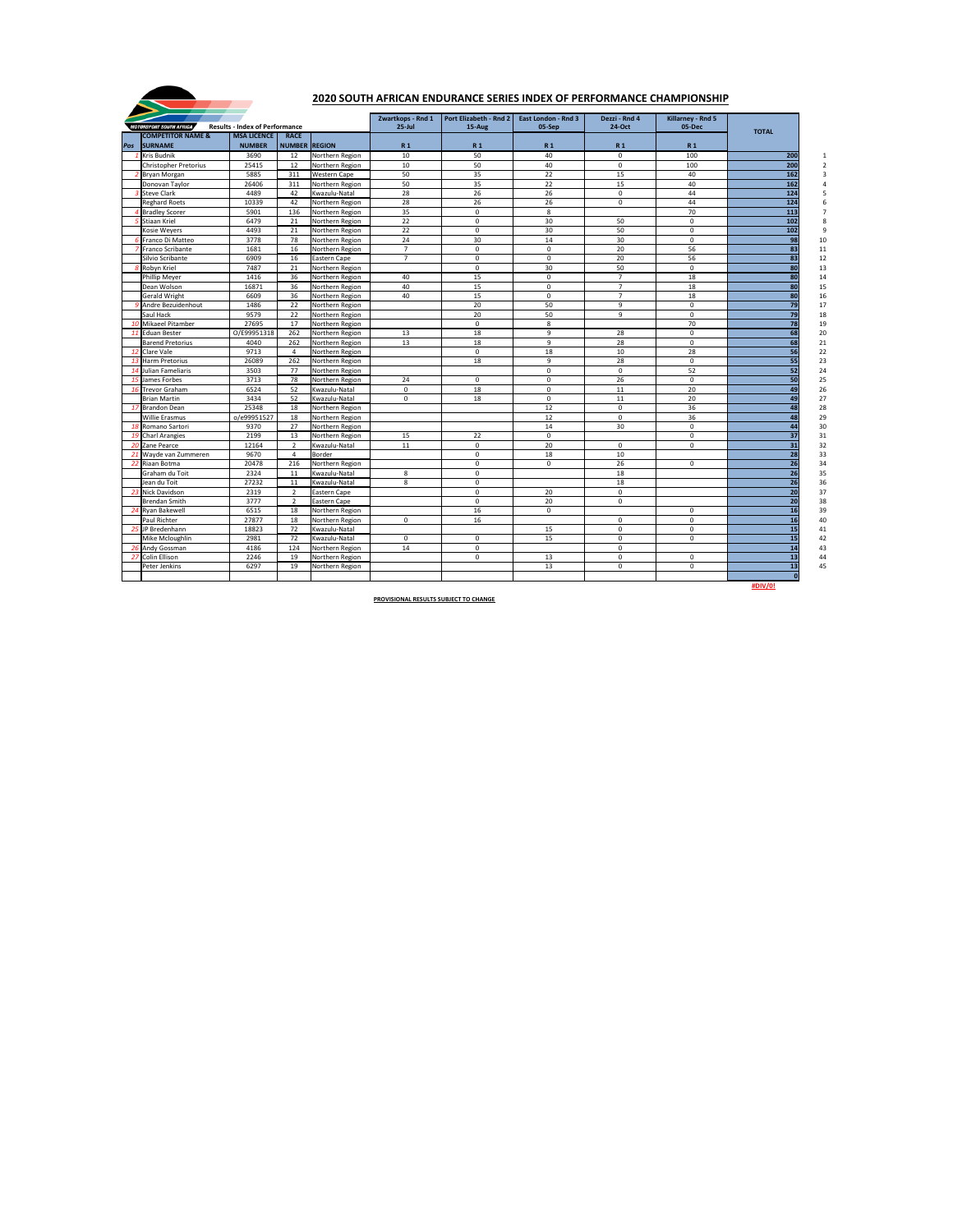|                              |                                       |                      |                     | Zwartkops - Rnd 1 | Port Elizabeth - Rnd 2 | <b>East London - Rnd 3</b> | Dezzi - Rnd 4  | <b>Killarney - Rnd 5</b> |                 |
|------------------------------|---------------------------------------|----------------------|---------------------|-------------------|------------------------|----------------------------|----------------|--------------------------|-----------------|
| MOTORSPORT SOUTH AFRICA      | <b>Results - Index of Performance</b> |                      |                     | $25$ -Jul         | 15-Aug                 | 05-Sep                     | 24-Oct         | 05-Dec                   | <b>TOTAL</b>    |
| <b>COMPETITOR NAME &amp;</b> | <b>MSA LICENCE</b>                    | <b>RACE</b>          |                     |                   |                        |                            |                |                          |                 |
| Pos SURNAME                  | <b>NUMBER</b>                         | <b>NUMBER REGION</b> |                     | <b>R1</b>         | <b>R1</b>              | <b>R1</b>                  | R <sub>1</sub> | <b>R1</b>                |                 |
| <b>Kris Budnik</b>           | 3690                                  | 12                   | Northern Region     | 10                | 50                     | 40                         | $\mathbf 0$    | 100                      | 200             |
| <b>Christopher Pretorius</b> | 25415                                 | 12                   | Northern Region     | 10                | 50                     | 40                         | $\mathsf{O}$   | 100                      | 200             |
| <b>Bryan Morgan</b>          | 5885                                  | 311                  | <b>Western Cape</b> | 50                | 35                     | 22                         | 15             | 40                       | 162             |
| Donovan Taylor               | 26406                                 | 311                  | Northern Region     | 50                | 35                     | 22                         | 15             | 40                       | 162             |
| <b>Steve Clark</b>           | 4489                                  | 42                   | Kwazulu-Natal       | 28                | 26                     | 26                         | $\mathsf{O}$   | 44                       | 124             |
| <b>Reghard Roets</b>         | 10339                                 | 42                   | Northern Region     | 28                | 26                     | 26                         | $\mathbf 0$    | 44                       | 124             |
| <b>Bradley Scorer</b>        | 5901                                  | 136                  | Northern Region     | 35                | 0                      | 8                          |                | 70                       | 113             |
| <b>Stiaan Kriel</b>          | 6479                                  | 21                   | Northern Region     | 22                | 0                      | 30                         | 50             | $\mathbf 0$              | 102             |
| Kosie Weyers                 | 4493                                  | 21                   | Northern Region     | 22                | $\mathbf 0$            | 30                         | 50             | $\mathbf 0$              | 102             |
| 6 Franco Di Matteo           | 3778                                  | 78                   | Northern Region     | 24                | 30                     | 14                         | 30             | $\mathbf 0$              |                 |
| Franco Scribante             | 1681                                  | 16                   | Northern Region     | $\overline{7}$    | $\mathbf 0$            | 0                          | 20             | 56                       | 83              |
| Silvio Scribante             | 6909                                  | 16                   | <b>Eastern Cape</b> | $\overline{7}$    | 0                      | $\mathbf 0$                | 20             | 56                       |                 |
| Robyn Kriel                  | 7487                                  | 21                   | Northern Region     |                   | $\mathbf 0$            | 30                         | 50             | $\mathbf 0$              |                 |
| <b>Phillip Meyer</b>         | 1416                                  | 36                   | Northern Region     | 40                | 15                     | $\mathbf 0$                | $\overline{7}$ | 18                       | 80              |
| Dean Wolson                  | 16871                                 | 36                   | Northern Region     | 40                | 15                     | $\mathbf 0$                | $\overline{7}$ | 18                       |                 |
| <b>Gerald Wright</b>         | 6609                                  | 36                   | Northern Region     | 40                | 15                     | 0                          |                | 18                       |                 |
| Andre Bezuidenhout           | 1486                                  | 22                   | Northern Region     |                   | 20                     | 50                         | 9              | $\mathbf 0$              |                 |
| Saul Hack                    | 9579                                  | 22                   | Northern Region     |                   | 20                     | 50                         | 9              | $\mathbf 0$              |                 |
| 10 Mikaeel Pitamber          | 27695                                 | 17                   | Northern Region     |                   | $\mathbf 0$            | 8                          |                | 70                       | 78              |
| 11 Eduan Bester              | O/E99951318                           | 262                  | Northern Region     | 13                | 18                     | 9                          | 28             | $\mathbf 0$              |                 |
| <b>Barend Pretorius</b>      | 4040                                  | 262                  | Northern Region     | 13                | 18                     | 9                          | 28             | $\mathbf 0$              |                 |
| 12 Clare Vale                | 9713                                  | 4                    | Northern Region     |                   | $\mathsf{O}$           | 18                         | 10             | 28                       |                 |
| 13 Harm Pretorius            | 26089                                 | 262                  | Northern Region     |                   | 18                     | 9                          | 28             | $\mathbf 0$              |                 |
| 14 Julian Fameliaris         | 3503                                  | 77                   | Northern Region     |                   |                        | 0                          | 0              | 52                       |                 |
| 15 James Forbes              | 3713                                  | 78                   | Northern Region     | 24                | $\mathbf 0$            | $\mathbf 0$                | 26             | $\mathbf 0$              |                 |
| 16 Trevor Graham             | 6524                                  | 52                   | Kwazulu-Natal       | $\mathbf 0$       | 18                     | 0                          | 11             | 20                       |                 |
| <b>Brian Martin</b>          | 3434                                  | 52                   | Kwazulu-Natal       | $\mathbf 0$       | 18                     | $\mathbf 0$                | 11             | 20                       |                 |
| 17 Brandon Dean              | 25348                                 | 18                   | Northern Region     |                   |                        | 12                         | $\mathbf 0$    | 36                       | 48              |
| <b>Willie Erasmus</b>        | o/e99951527                           | 18                   | Northern Region     |                   |                        | 12                         | $\mathbf 0$    | 36                       |                 |
| 18 Romano Sartori            | 9370                                  | 27                   | Northern Region     |                   |                        | 14                         | 30             | $\mathbf 0$              |                 |
| 19 Charl Arangies            | 2199                                  | 13                   | Northern Region     | 15                | 22                     | $\pmb{0}$                  |                | $\mathbf 0$              |                 |
| 20 Zane Pearce               | 12164                                 | $\overline{2}$       | Kwazulu-Natal       | 11                | $\mathbf 0$            | 20                         | $\mathsf{O}$   | $\mathbf 0$              | 31              |
| 21 Wayde van Zummeren        | 9670                                  | 4                    | <b>Border</b>       |                   | 0                      | 18                         | 10             |                          | 28              |
| 22 Riaan Botma               | 20478                                 | 216                  | Northern Region     |                   | $\mathbf 0$            | $\mathbf 0$                | 26             | $\mathbf 0$              | 26              |
| Graham du Toit               | 2324                                  | 11                   | Kwazulu-Natal       | 8                 | $\mathbf 0$            |                            | 18             |                          | 26              |
| Jean du Toit                 | 27232                                 | 11                   | Kwazulu-Natal       | 8                 | $\mathbf 0$            |                            | 18             |                          | 26              |
| 23 Nick Davidson             | 2319                                  | 2                    | Eastern Cape        |                   | $\mathbf 0$            | 20                         | 0              |                          | 20              |
| <b>Brendan Smith</b>         | 3777                                  | $\overline{2}$       | Eastern Cape        |                   | $\mathbf 0$            | 20                         | $\mathsf{O}$   |                          | 20              |
| 24 Ryan Bakewell             | 6515                                  | 18                   | Northern Region     |                   | 16                     | $\mathbf 0$                |                | $\mathbf 0$              |                 |
| Paul Richter                 | 27877                                 | 18                   | Northern Region     | $\mathbf 0$       | 16                     |                            | $\mathsf{O}$   | $\mathbf 0$              | <b>16</b>       |
| 25 JP Bredenhann             | 18823                                 | 72                   | Kwazulu-Natal       |                   |                        | 15                         | $\mathbf 0$    | $\mathbf 0$              |                 |
| Mike Mcloughlin              | 2981                                  | 72                   | Kwazulu-Natal       | $\mathbf 0$       | $\mathbf 0$            | 15                         | $\pmb{0}$      | $\mathbf 0$              |                 |
| 26 Andy Gossman              | 4186                                  | 124                  | Northern Region     | 14                | $\mathbf 0$            |                            | $\mathsf{O}$   |                          |                 |
| 27 Colin Ellison             | 2246                                  | 19                   | Northern Region     |                   | $\mathbf 0$            | 13                         | $\mathsf{O}$   | $\mathbf 0$              |                 |
| Peter Jenkins                | 6297                                  | 19                   | Northern Region     |                   |                        | 13                         | 0              | $\mathbf 0$              | 13 <sup>l</sup> |
|                              |                                       |                      |                     |                   |                        |                            |                |                          |                 |



# **2020 SOUTH AFRICAN ENDURANCE SERIES INDEX OF PERFORMANCE CHAMPIONSHIP**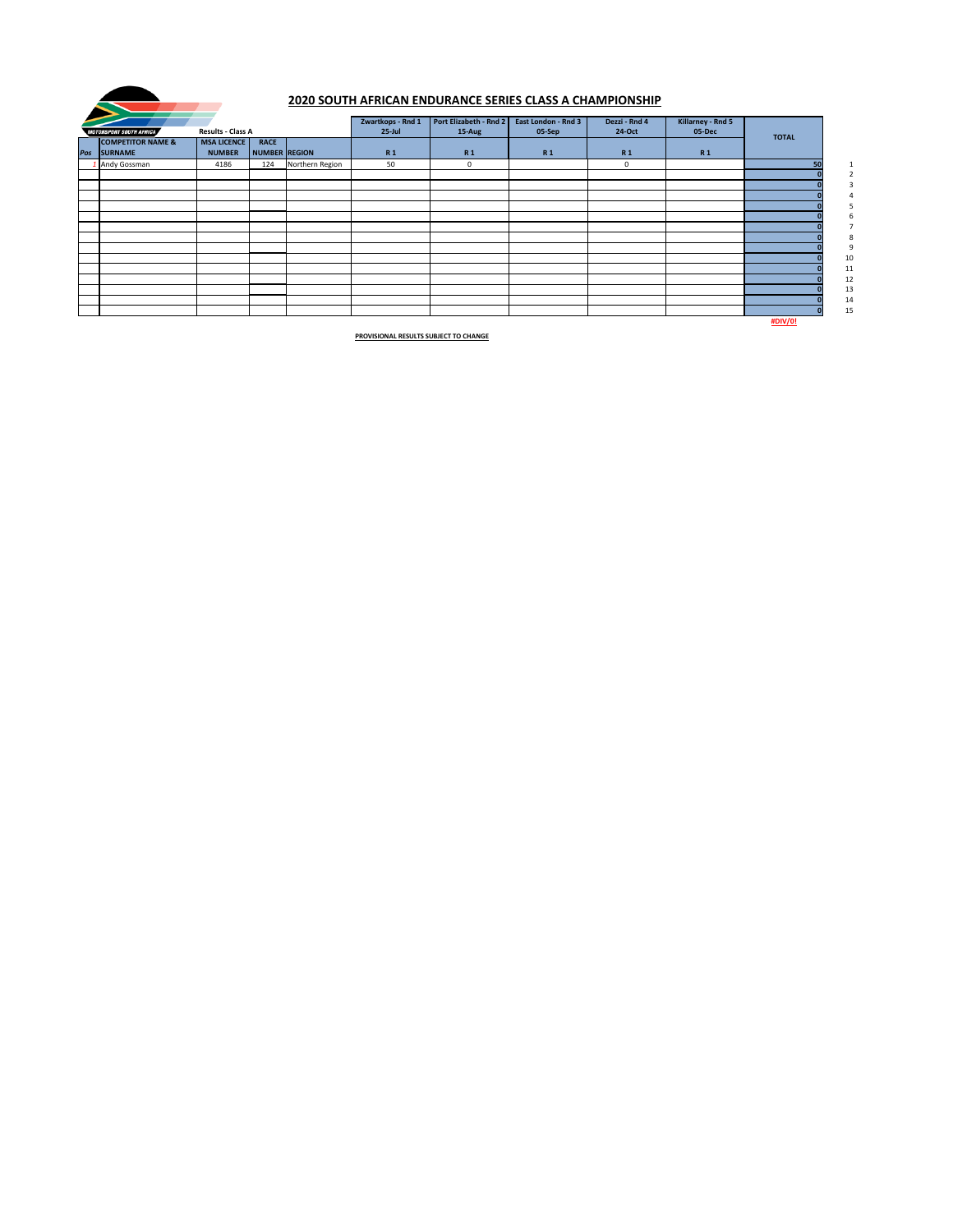| <b>MOTORSPORT SOUTH AFRICA</b>              | <b>Results - Class A</b>            |                              |                 | Zwartkops - Rnd 1<br>$25$ -Jul | Port Elizabeth - Rnd 2<br>15-Aug | <b>East London - Rnd 3</b><br>05-Sep | Dezzi - Rnd 4<br>24-Oct | Killarney - Rnd 5<br>05-Dec |                |
|---------------------------------------------|-------------------------------------|------------------------------|-----------------|--------------------------------|----------------------------------|--------------------------------------|-------------------------|-----------------------------|----------------|
| <b>COMPETITOR NAME &amp;</b><br>Pos SURNAME | <b>MSA LICENCE</b><br><b>NUMBER</b> | <b>RACE</b><br>NUMBER REGION |                 | <b>R1</b>                      | <b>R1</b>                        | R <sub>1</sub>                       | R <sub>1</sub>          | <b>R1</b>                   | <b>TOTAL</b>   |
| 1 Andy Gossman                              | 4186                                | 124                          | Northern Region | 50                             | $\mathbf 0$                      |                                      | 0                       |                             | 50             |
|                                             |                                     |                              |                 |                                |                                  |                                      |                         |                             |                |
|                                             |                                     |                              |                 |                                |                                  |                                      |                         |                             |                |
|                                             |                                     |                              |                 |                                |                                  |                                      |                         |                             |                |
|                                             |                                     |                              |                 |                                |                                  |                                      |                         |                             |                |
|                                             |                                     |                              |                 |                                |                                  |                                      |                         |                             |                |
|                                             |                                     |                              |                 |                                |                                  |                                      |                         |                             |                |
|                                             |                                     |                              |                 |                                |                                  |                                      |                         |                             |                |
|                                             |                                     |                              |                 |                                |                                  |                                      |                         |                             |                |
|                                             |                                     |                              |                 |                                |                                  |                                      |                         |                             |                |
|                                             |                                     |                              |                 |                                |                                  |                                      |                         |                             |                |
|                                             |                                     |                              |                 |                                |                                  |                                      |                         |                             |                |
|                                             |                                     |                              |                 |                                |                                  |                                      |                         |                             |                |
|                                             |                                     |                              |                 |                                |                                  |                                      |                         |                             |                |
|                                             |                                     |                              |                 |                                |                                  |                                      |                         |                             | <b>#DIV/0!</b> |



# **2020 SOUTH AFRICAN ENDURANCE SERIES CLASS A CHAMPIONSHIP**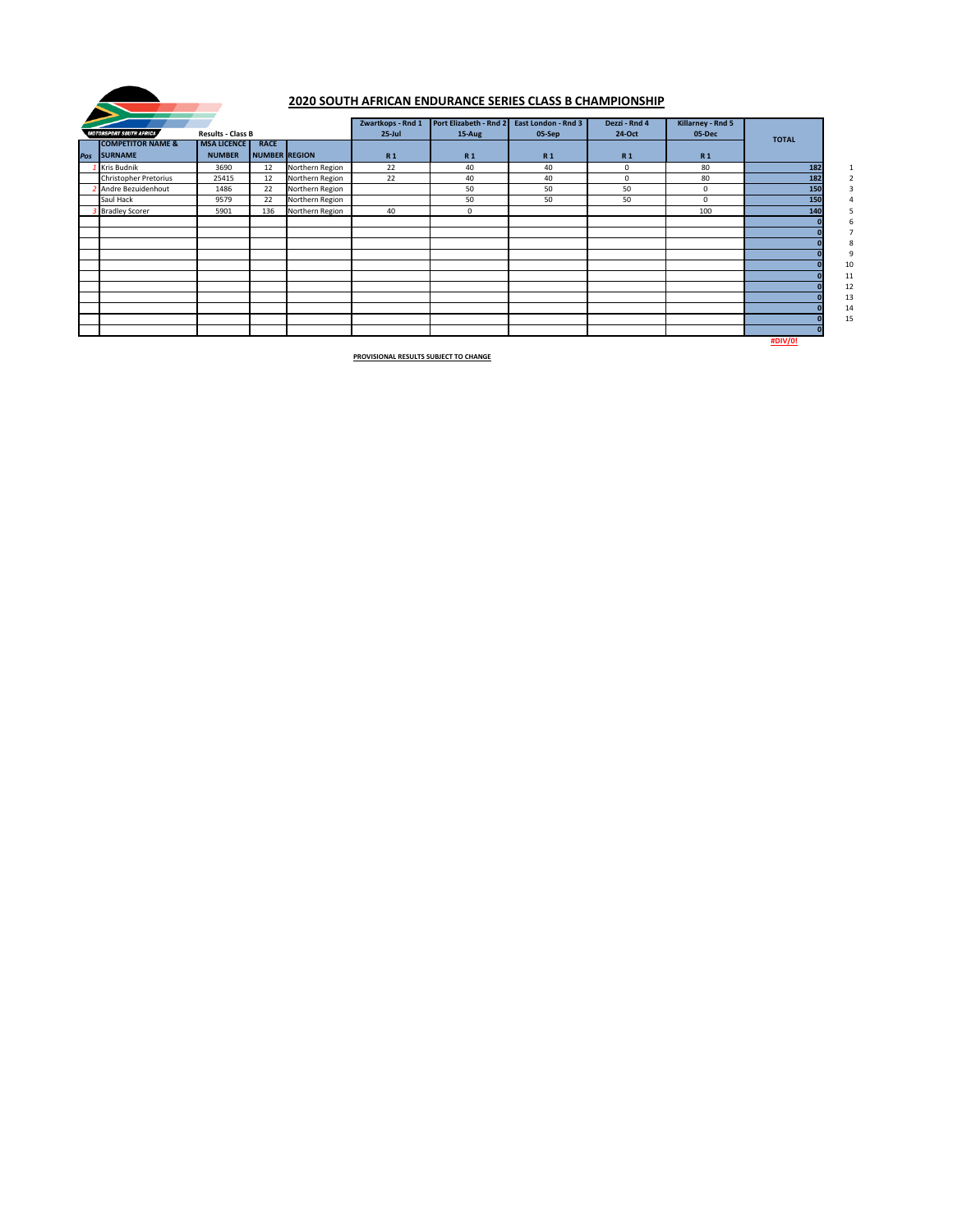| <b>MOTORSPORT SOUTH AFRICA</b>              | <b>Results - Class B</b>            |                                     |                 | Zwartkops - Rnd 1<br>$25$ -Jul | Port Elizabeth - Rnd 2<br>15-Aug | <b>East London - Rnd 3</b><br>05-Sep | Dezzi - Rnd 4<br>24-Oct | <b>Killarney - Rnd 5</b><br>05-Dec | <b>TOTAL</b>   |        |
|---------------------------------------------|-------------------------------------|-------------------------------------|-----------------|--------------------------------|----------------------------------|--------------------------------------|-------------------------|------------------------------------|----------------|--------|
| <b>COMPETITOR NAME &amp;</b><br>Pos SURNAME | <b>MSA LICENCE</b><br><b>NUMBER</b> | <b>RACE</b><br><b>NUMBER REGION</b> |                 | <b>R1</b>                      | <b>R1</b>                        | <b>R1</b>                            | <b>R1</b>               | <b>R1</b>                          |                |        |
| Kris Budnik                                 | 3690                                | 12                                  | Northern Region | 22                             | 40                               | 40                                   | $\mathbf 0$             | 80                                 | 182            |        |
| <b>Christopher Pretorius</b>                | 25415                               | 12                                  | Northern Region | 22                             | 40                               | 40                                   | $\mathbf 0$             | 80                                 | 182            |        |
| <b>Andre Bezuidenhout</b>                   | 1486                                | 22                                  | Northern Region |                                | 50                               | 50                                   | 50                      | 0                                  | 150            |        |
| Saul Hack                                   | 9579                                | 22                                  | Northern Region |                                | 50                               | 50                                   | 50                      | $\mathbf 0$                        | 150            |        |
| <b>Bradley Scorer</b>                       | 5901                                | 136                                 | Northern Region | 40                             | $\mathbf 0$                      |                                      |                         | 100                                | 140            |        |
|                                             |                                     |                                     |                 |                                |                                  |                                      |                         |                                    |                |        |
|                                             |                                     |                                     |                 |                                |                                  |                                      |                         |                                    |                |        |
|                                             |                                     |                                     |                 |                                |                                  |                                      |                         |                                    |                |        |
|                                             |                                     |                                     |                 |                                |                                  |                                      |                         |                                    |                |        |
|                                             |                                     |                                     |                 |                                |                                  |                                      |                         |                                    |                | 10     |
|                                             |                                     |                                     |                 |                                |                                  |                                      |                         |                                    |                | 11     |
|                                             |                                     |                                     |                 |                                |                                  |                                      |                         |                                    |                | $12\,$ |
|                                             |                                     |                                     |                 |                                |                                  |                                      |                         |                                    |                | 13     |
|                                             |                                     |                                     |                 |                                |                                  |                                      |                         |                                    |                | 14     |
|                                             |                                     |                                     |                 |                                |                                  |                                      |                         |                                    |                | 15     |
|                                             |                                     |                                     |                 |                                |                                  |                                      |                         |                                    |                |        |
|                                             |                                     |                                     |                 |                                |                                  |                                      |                         |                                    | <b>#DIV/0!</b> |        |



### **2020 SOUTH AFRICAN ENDURANCE SERIES CLASS B CHAMPIONSHIP**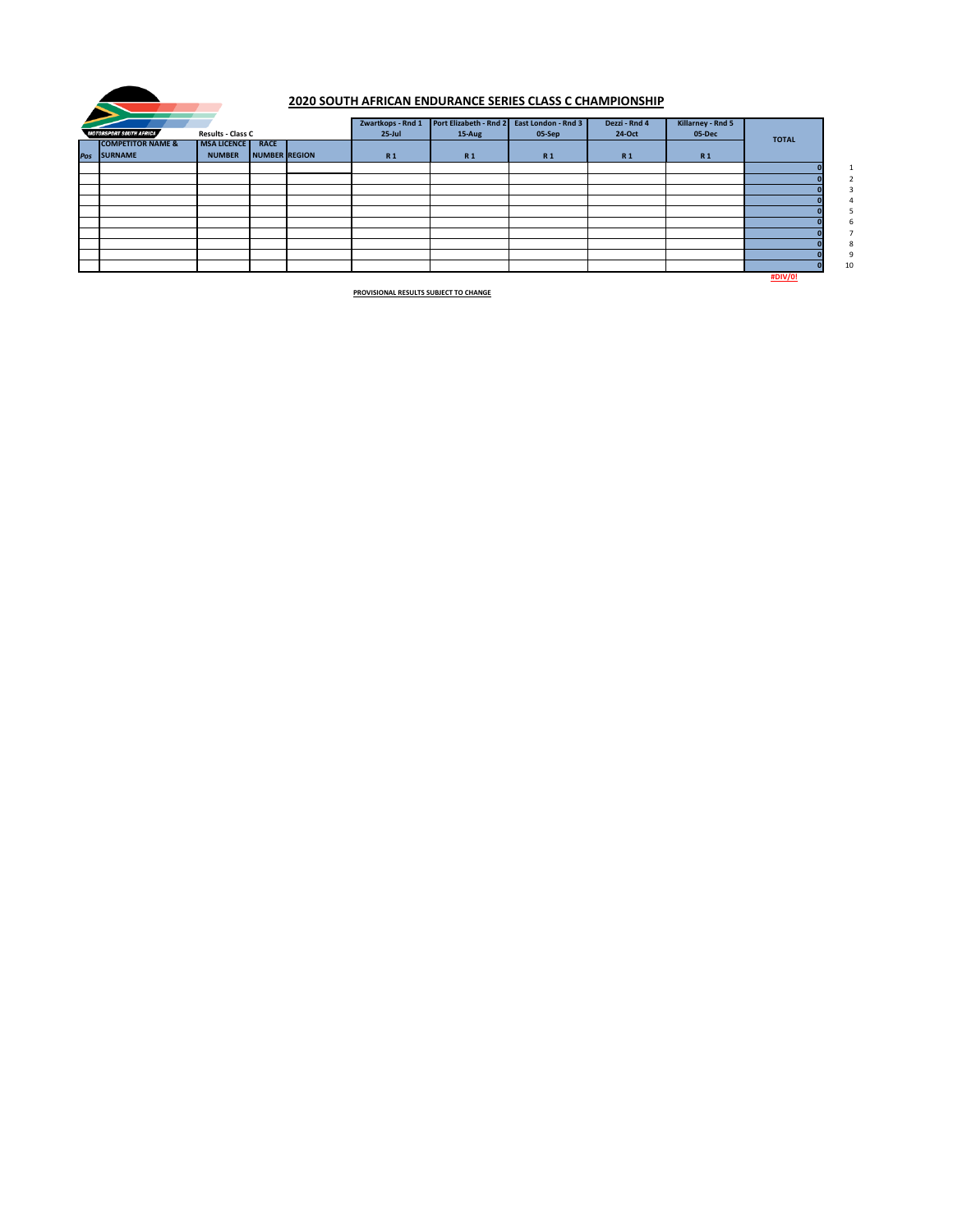| <b>MOTORSPORT SOUTH AFRICA</b> | <b>Results - Class C</b> |                      | Zwartkops - Rnd 1<br>$25$ -Jul | Port Elizabeth - Rnd 2 East London - Rnd 3<br>15-Aug | 05-Sep    | Dezzi - Rnd 4<br>24-Oct | <b>Killarney - Rnd 5</b><br>05-Dec |                |    |
|--------------------------------|--------------------------|----------------------|--------------------------------|------------------------------------------------------|-----------|-------------------------|------------------------------------|----------------|----|
| <b>COMPETITOR NAME &amp;</b>   | <b>MSA LICENCE</b>       | <b>RACE</b>          |                                |                                                      |           |                         |                                    | <b>TOTAL</b>   |    |
| Pos SURNAME                    | <b>NUMBER</b>            | <b>NUMBER REGION</b> | <b>R1</b>                      | <b>R1</b>                                            | <b>R1</b> | R <sub>1</sub>          | <b>R1</b>                          |                |    |
|                                |                          |                      |                                |                                                      |           |                         |                                    |                | 1  |
|                                |                          |                      |                                |                                                      |           |                         |                                    |                |    |
|                                |                          |                      |                                |                                                      |           |                         |                                    |                |    |
|                                |                          |                      |                                |                                                      |           |                         |                                    |                |    |
|                                |                          |                      |                                |                                                      |           |                         |                                    |                |    |
|                                |                          |                      |                                |                                                      |           |                         |                                    |                |    |
|                                |                          |                      |                                |                                                      |           |                         |                                    |                |    |
|                                |                          |                      |                                |                                                      |           |                         |                                    |                |    |
|                                |                          |                      |                                |                                                      |           |                         |                                    |                | Э  |
|                                |                          |                      |                                |                                                      |           |                         |                                    |                | 10 |
|                                |                          |                      |                                |                                                      |           |                         |                                    | <b>#DIV/0!</b> |    |



### **2020 SOUTH AFRICAN ENDURANCE SERIES CLASS C CHAMPIONSHIP**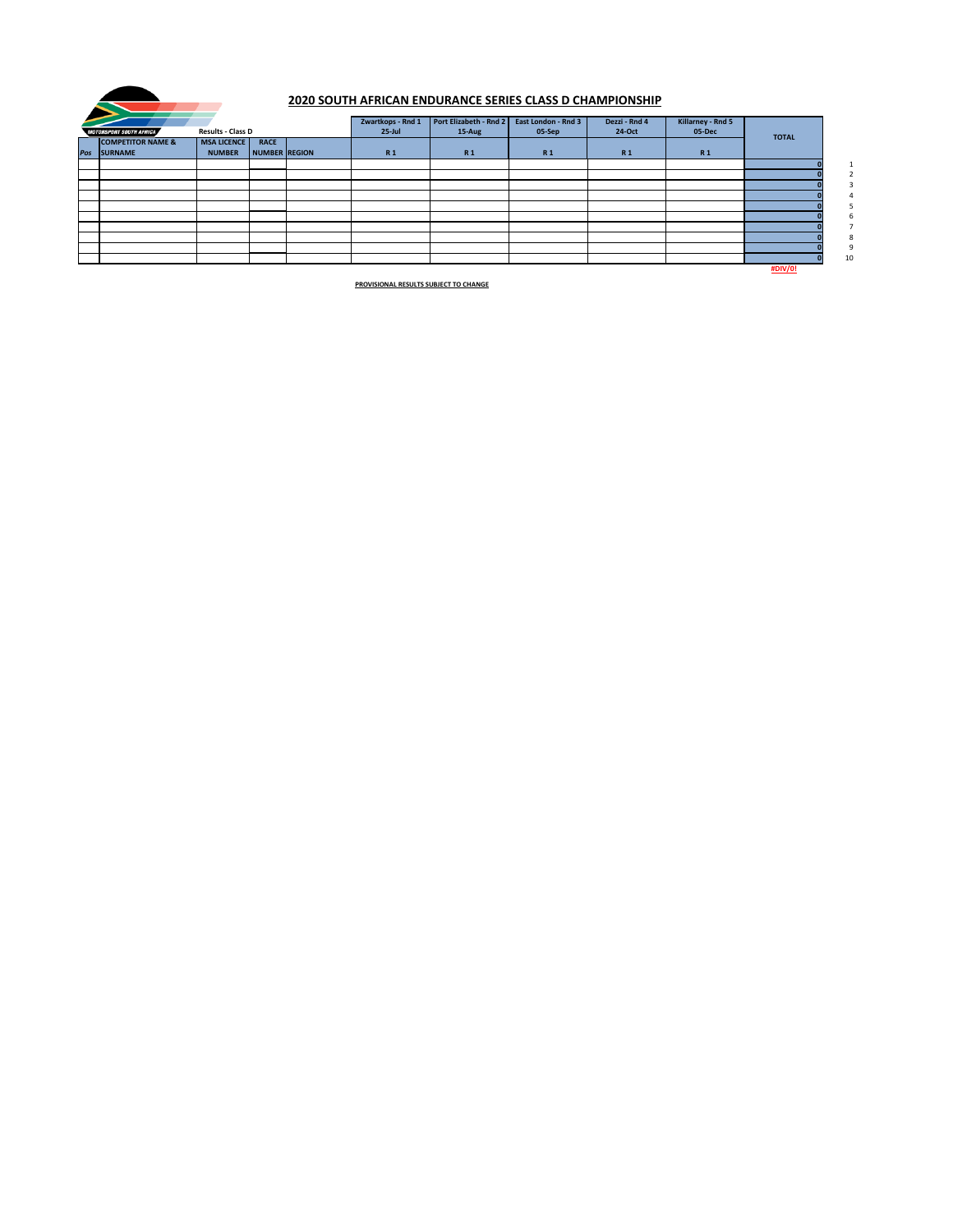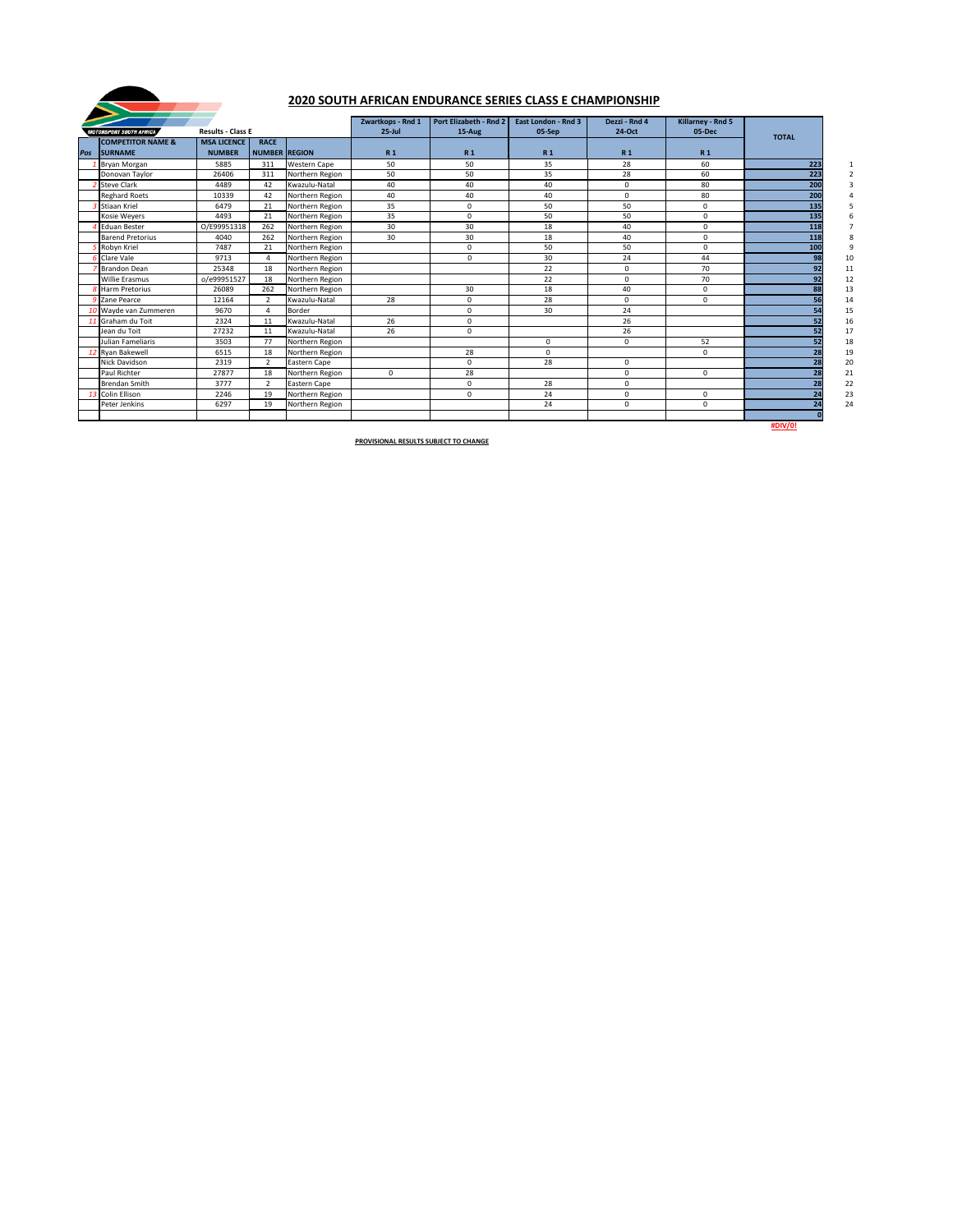|     | <b>MOTORSPORT SOUTH AFRICA</b>          | <b>Results - Class E</b><br><b>MSA LICENCE</b><br><b>RACE</b> |                      |                     |                        | <b>Port Elizabeth - Rnd 2</b><br>15-Aug | <b>East London - Rnd 3</b><br>05-Sep | Dezzi - Rnd 4<br>24-Oct | Killarney - Rnd 5<br>05-Dec |              |
|-----|-----------------------------------------|---------------------------------------------------------------|----------------------|---------------------|------------------------|-----------------------------------------|--------------------------------------|-------------------------|-----------------------------|--------------|
| Pos | <b>COMPETITOR NAME &amp;</b><br>SURNAME | <b>NUMBER</b>                                                 | <b>NUMBER REGION</b> |                     | $25$ -Jul<br><b>R1</b> | <b>R1</b>                               | <b>R1</b>                            | <b>R1</b>               | <b>R1</b>                   | <b>TOTAL</b> |
|     | <b>Bryan Morgan</b>                     | 5885                                                          | 311                  | <b>Western Cape</b> | 50                     | 50                                      | 35                                   | 28                      | 60                          | 223          |
|     | Donovan Taylor                          | 26406                                                         | 311                  | Northern Region     | 50                     | 50                                      | 35                                   | 28                      | 60                          | 223          |
|     | <b>Steve Clark</b>                      | 4489                                                          | 42                   | Kwazulu-Natal       | 40                     | 40                                      | 40                                   | 0                       | 80                          | 200          |
|     | <b>Reghard Roets</b>                    | 10339                                                         | 42                   | Northern Region     | 40                     | 40                                      | 40                                   | 0                       | 80                          | 200          |
|     | <b>Stiaan Kriel</b>                     | 6479                                                          | 21                   | Northern Region     | 35                     | $\mathbf 0$                             | 50                                   | 50                      | $\mathbf 0$                 | 135          |
|     | Kosie Weyers                            | 4493                                                          | 21                   | Northern Region     | 35                     | $\mathbf 0$                             | 50                                   | 50                      | $\mathsf{O}\xspace$         | 135          |
|     | <b>Eduan Bester</b>                     | O/E99951318                                                   | 262                  | Northern Region     | 30                     | 30                                      | 18                                   | 40                      | $\mathbf 0$                 | 118          |
|     | <b>Barend Pretorius</b>                 | 4040                                                          | 262                  | Northern Region     | 30                     | 30                                      | 18                                   | 40                      | $\mathsf{O}\xspace$         | 118          |
|     | Robyn Kriel                             | 7487                                                          | 21                   | Northern Region     |                        | $\mathsf{O}$                            | 50                                   | 50                      | $\mathbf 0$                 | 100          |
|     | Clare Vale                              | 9713                                                          | $\overline{4}$       | Northern Region     |                        | $\mathbf 0$                             | 30                                   | 24                      | 44                          | 98           |
|     | <b>Brandon Dean</b>                     | 25348                                                         | 18                   | Northern Region     |                        |                                         | 22                                   | $\mathbf 0$             | 70                          | 92           |
|     | <b>Willie Erasmus</b>                   | o/e99951527                                                   | 18                   | Northern Region     |                        |                                         | 22                                   | 0                       | 70                          | 92           |
|     | <b>Harm Pretorius</b>                   | 26089                                                         | 262                  | Northern Region     |                        | 30                                      | 18                                   | 40                      | $\mathbf 0$                 | 88           |
|     | 9 Zane Pearce                           | 12164                                                         | $\overline{2}$       | Kwazulu-Natal       | 28                     | 0                                       | 28                                   | 0                       | 0                           | 56           |
|     | O Wayde van Zummeren                    | 9670                                                          | 4                    | Border              |                        | $\mathbf 0$                             | 30                                   | 24                      |                             | 54           |
|     | 1 Graham du Toit                        | 2324                                                          | 11                   | Kwazulu-Natal       | 26                     | $\mathbf 0$                             |                                      | 26                      |                             |              |
|     | Jean du Toit                            | 27232                                                         | 11                   | Kwazulu-Natal       | 26                     | $\mathbf{0}$                            |                                      | 26                      |                             | 52           |
|     | Julian Fameliaris                       | 3503                                                          | 77                   | Northern Region     |                        |                                         | $\mathbf 0$                          | 0                       | 52                          | 52           |
|     | 2 Ryan Bakewell                         | 6515                                                          | 18                   | Northern Region     |                        | 28                                      | $\mathbf 0$                          |                         | $\mathbf 0$                 | 28           |
|     | <b>Nick Davidson</b>                    | 2319                                                          | $\overline{2}$       | Eastern Cape        |                        | $\mathbf{0}$                            | 28                                   | $\Omega$                |                             | 28           |
|     | Paul Richter                            | 27877                                                         | 18                   | Northern Region     | 0                      | 28                                      |                                      | $\Omega$                | $\mathbf 0$                 | 28           |
|     | <b>Brendan Smith</b>                    | 3777                                                          | $\overline{2}$       | Eastern Cape        |                        | $\mathbf 0$                             | 28                                   | 0                       |                             | 28           |
|     | Colin Ellison                           | 2246                                                          | 19                   | Northern Region     |                        | $\mathbf{0}$                            | 24                                   | 0                       | $\mathbf 0$                 |              |
|     | Peter Jenkins                           | 6297                                                          | 19                   | Northern Region     |                        |                                         | 24                                   | $\mathbf 0$             | $\mathbf 0$                 | 24           |
|     |                                         |                                                               |                      |                     |                        |                                         |                                      |                         |                             |              |



# **2020 SOUTH AFRICAN ENDURANCE SERIES CLASS E CHAMPIONSHIP**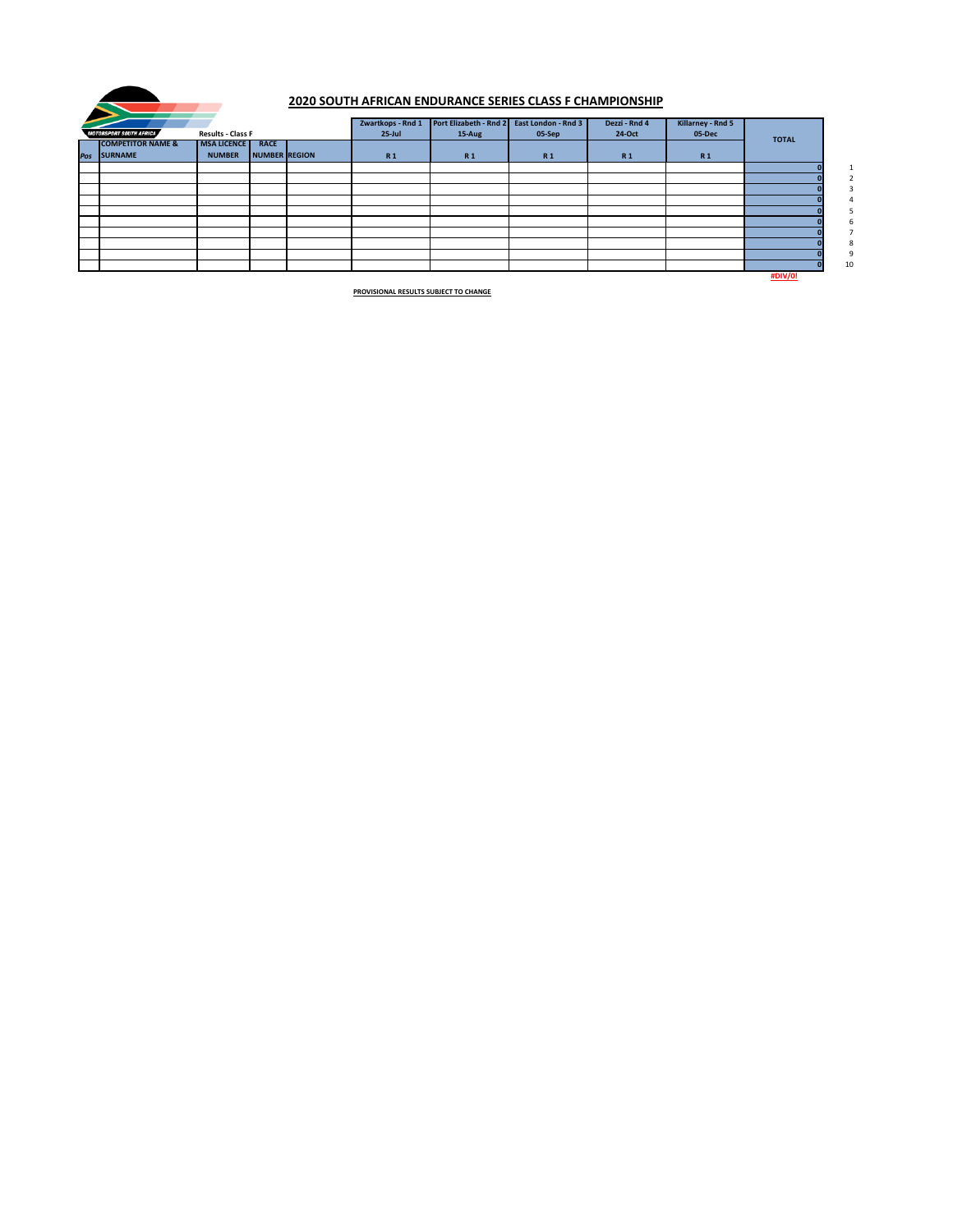|                                |                          |               | Zwartkops - Rnd 1 | Port Elizabeth - Rnd 2 | <b>East London - Rnd 3</b> | Dezzi - Rnd 4 | <b>Killarney - Rnd 5</b> |                |                 |
|--------------------------------|--------------------------|---------------|-------------------|------------------------|----------------------------|---------------|--------------------------|----------------|-----------------|
| <b>MOTORSPORT SOUTH AFRICA</b> | <b>Results - Class F</b> |               | $25$ -Jul         | 15-Aug                 | 05-Sep                     | 24-Oct        | 05-Dec                   | <b>TOTAL</b>   |                 |
| <b>COMPETITOR NAME &amp;</b>   | <b>MSA LICENCE</b>       | <b>RACE</b>   |                   |                        |                            |               |                          |                |                 |
| Pos SURNAME                    | <b>NUMBER</b>            | NUMBER REGION | <b>R1</b>         | <b>R1</b>              | <b>R1</b>                  | <b>R1</b>     | <b>R1</b>                |                |                 |
|                                |                          |               |                   |                        |                            |               |                          |                | $\mathbf{1}$    |
|                                |                          |               |                   |                        |                            |               |                          |                | $\overline{2}$  |
|                                |                          |               |                   |                        |                            |               |                          |                | $\mathbf{3}$    |
|                                |                          |               |                   |                        |                            |               |                          |                | $\overline{4}$  |
|                                |                          |               |                   |                        |                            |               |                          |                |                 |
|                                |                          |               |                   |                        |                            |               |                          |                | b               |
|                                |                          |               |                   |                        |                            |               |                          |                | $7\overline{ }$ |
|                                |                          |               |                   |                        |                            |               |                          |                | 8               |
|                                |                          |               |                   |                        |                            |               |                          |                | 9               |
|                                |                          |               |                   |                        |                            |               |                          |                | 10              |
|                                |                          |               |                   |                        |                            |               |                          | <b>#DIV/0!</b> |                 |



### **2020 SOUTH AFRICAN ENDURANCE SERIES CLASS F CHAMPIONSHIP**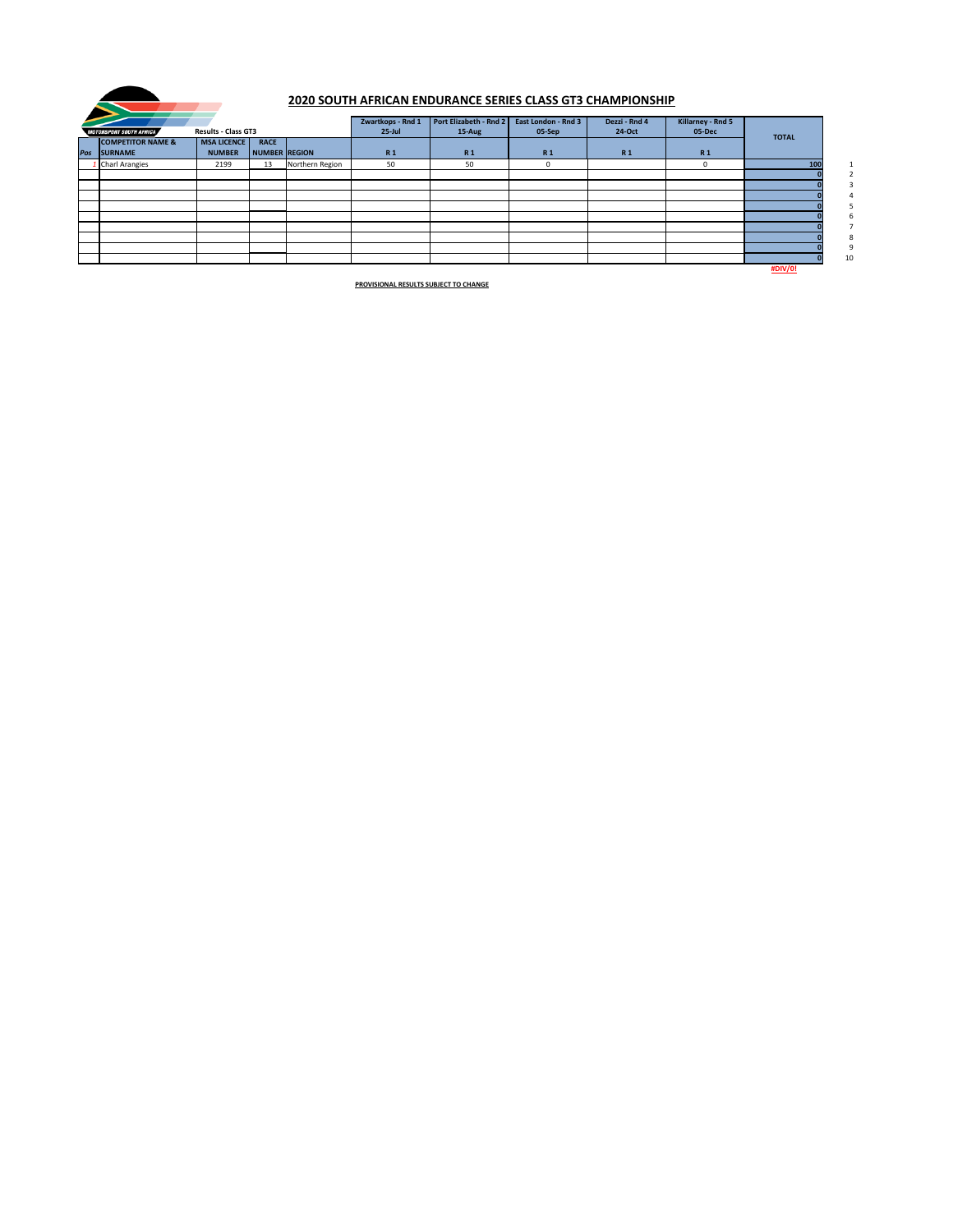|                                |                            |               |                 | Zwartkops - Rnd 1 | Port Elizabeth - Rnd 2 | <b>East London - Rnd 3</b> | Dezzi - Rnd 4  | <b>Killarney - Rnd 5</b> |                |    |
|--------------------------------|----------------------------|---------------|-----------------|-------------------|------------------------|----------------------------|----------------|--------------------------|----------------|----|
| <b>MOTORSPORT SOUTH AFRICA</b> | <b>Results - Class GT3</b> |               |                 | $25$ -Jul         | 15-Aug                 | 05-Sep                     | 24-Oct         | 05-Dec                   | <b>TOTAL</b>   |    |
| <b>COMPETITOR NAME &amp;</b>   | <b>MSA LICENCE</b>         | <b>RACE</b>   |                 |                   |                        |                            |                |                          |                |    |
| Pos SURNAME                    | <b>NUMBER</b>              | NUMBER REGION |                 | <b>R1</b>         | <b>R1</b>              | <b>R1</b>                  | R <sub>1</sub> | <b>R1</b>                |                |    |
| 1 Charl Arangies               | 2199                       | 13            | Northern Region | 50                | 50                     | 0                          |                | $\mathbf 0$              | 100            |    |
|                                |                            |               |                 |                   |                        |                            |                |                          |                |    |
|                                |                            |               |                 |                   |                        |                            |                |                          |                |    |
|                                |                            |               |                 |                   |                        |                            |                |                          |                |    |
|                                |                            |               |                 |                   |                        |                            |                |                          |                |    |
|                                |                            |               |                 |                   |                        |                            |                |                          |                |    |
|                                |                            |               |                 |                   |                        |                            |                |                          |                |    |
|                                |                            |               |                 |                   |                        |                            |                |                          |                |    |
|                                |                            |               |                 |                   |                        |                            |                |                          |                |    |
|                                |                            |               |                 |                   |                        |                            |                |                          |                | 10 |
|                                |                            |               |                 |                   |                        |                            |                |                          | <b>#DIV/0!</b> |    |



# **2020 SOUTH AFRICAN ENDURANCE SERIES CLASS GT3 CHAMPIONSHIP**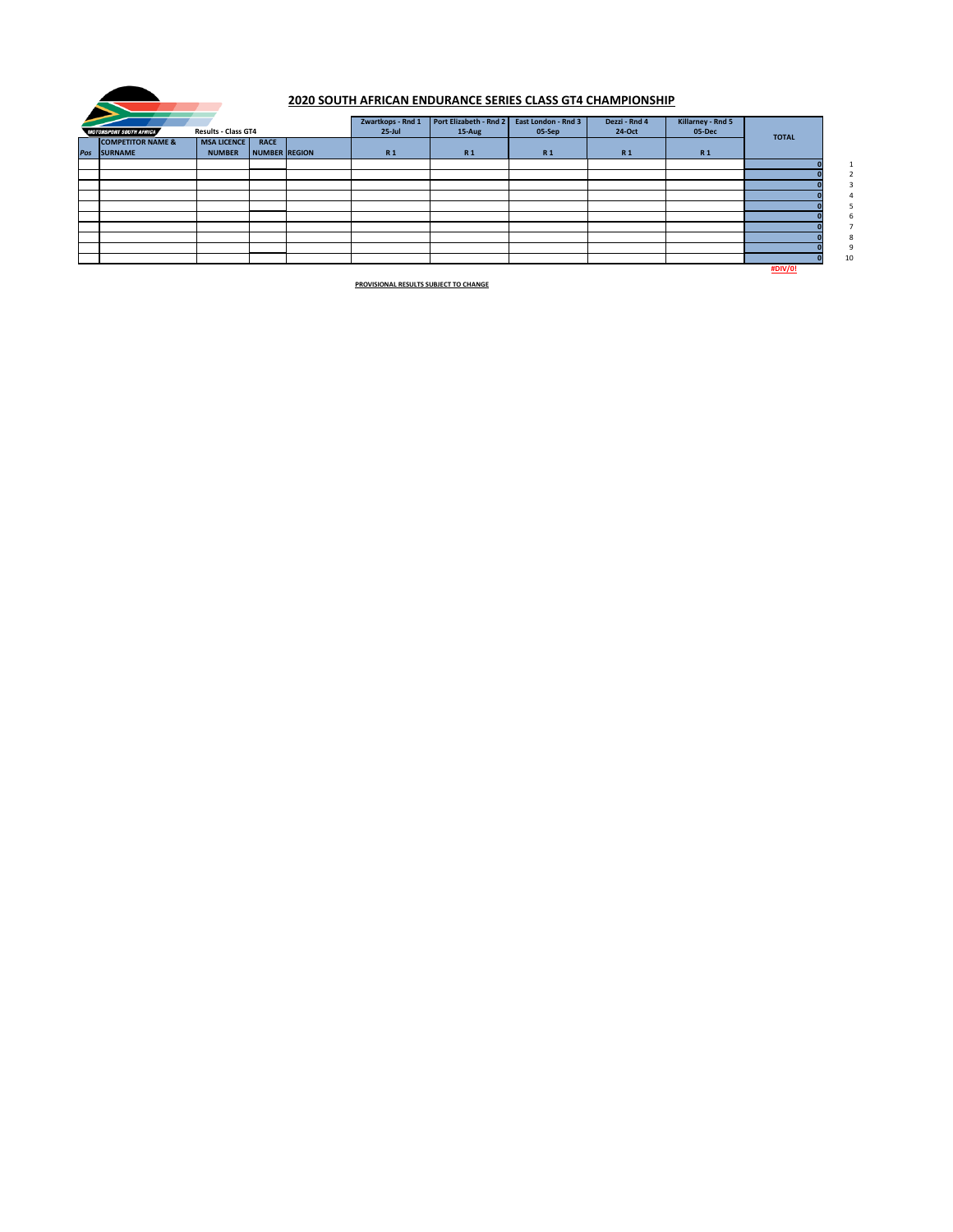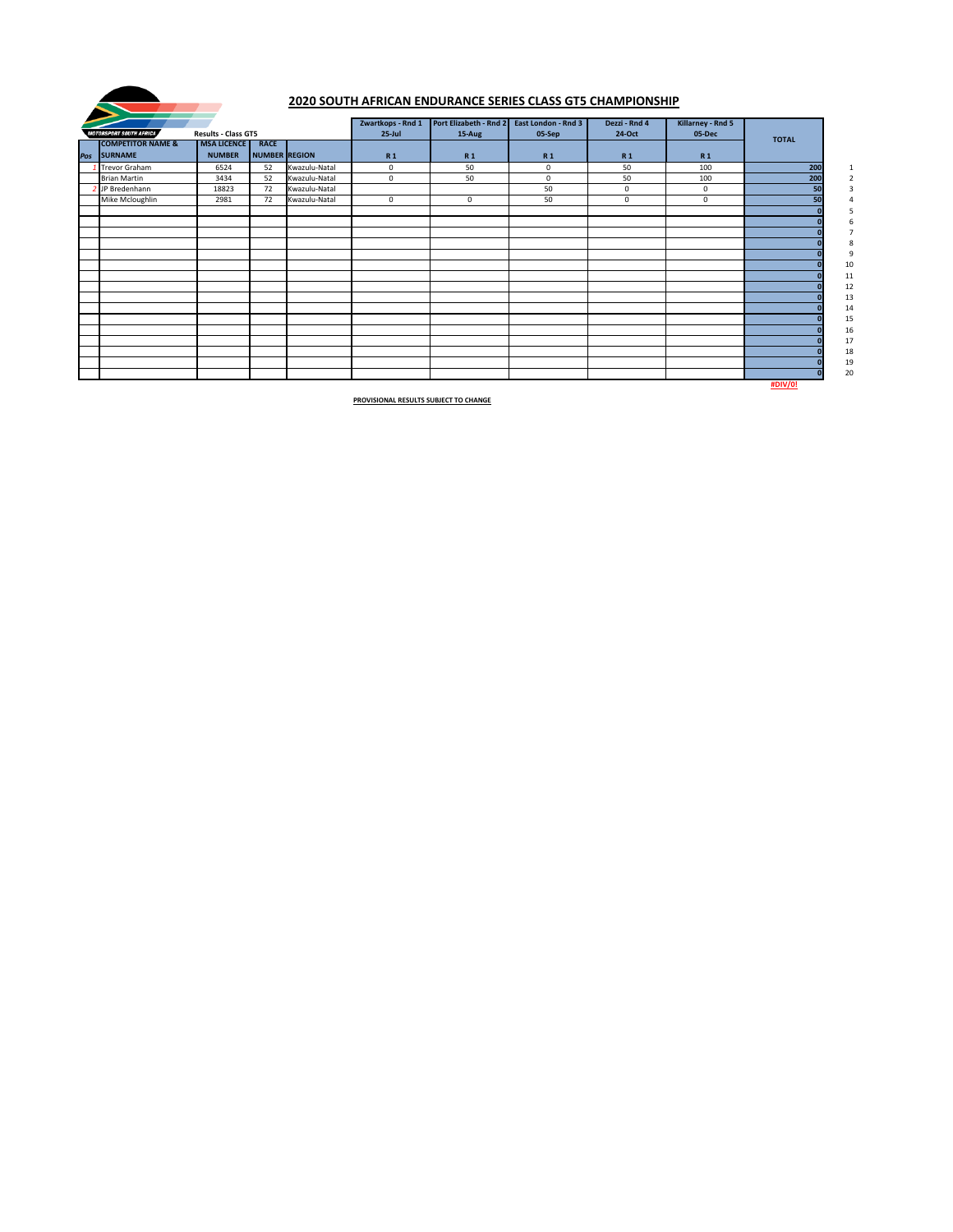|                                |                            |               |               | Zwartkops - Rnd 1 | Port Elizabeth - Rnd 2 | East London - Rnd 3 | Dezzi - Rnd 4 | Killarney - Rnd 5 |              |              |
|--------------------------------|----------------------------|---------------|---------------|-------------------|------------------------|---------------------|---------------|-------------------|--------------|--------------|
| <b>MOTORSPORT SOUTH AFRICA</b> | <b>Results - Class GT5</b> |               |               | $25$ -Jul         | 15-Aug                 | 05-Sep              | 24-Oct        | 05-Dec            | <b>TOTAL</b> |              |
| <b>COMPETITOR NAME &amp;</b>   | <b>MSA LICENCE</b>         | <b>RACE</b>   |               |                   |                        |                     |               |                   |              |              |
| Pos SURNAME                    | <b>NUMBER</b>              | NUMBER REGION |               | <b>R1</b>         | <b>R1</b>              | <b>R1</b>           | <b>R1</b>     | <b>R1</b>         |              |              |
| <b>Trevor Graham</b>           | 6524                       | 52            | Kwazulu-Natal | $\mathbf 0$       | 50                     | $\mathbf 0$         | 50            | 100               | 200          | $\mathbf{1}$ |
| <b>Brian Martin</b>            | 3434                       | 52            | Kwazulu-Natal | $\mathbf 0$       | 50                     | $\mathbf 0$         | 50            | 100               | 200          |              |
| JP Bredenhann                  | 18823                      | 72            | Kwazulu-Natal |                   |                        | 50                  | 0             | $\mathbf 0$       |              |              |
| Mike Mcloughlin                | 2981                       | 72            | Kwazulu-Natal | $\mathbf 0$       | $\mathbf 0$            | 50                  | $\mathbf 0$   | $\mathbf 0$       |              |              |
|                                |                            |               |               |                   |                        |                     |               |                   |              |              |
|                                |                            |               |               |                   |                        |                     |               |                   |              |              |
|                                |                            |               |               |                   |                        |                     |               |                   |              |              |
|                                |                            |               |               |                   |                        |                     |               |                   |              | 8            |
|                                |                            |               |               |                   |                        |                     |               |                   |              | 9            |
|                                |                            |               |               |                   |                        |                     |               |                   |              | 10           |
|                                |                            |               |               |                   |                        |                     |               |                   |              | 11           |
|                                |                            |               |               |                   |                        |                     |               |                   |              | 12           |
|                                |                            |               |               |                   |                        |                     |               |                   |              | 13           |
|                                |                            |               |               |                   |                        |                     |               |                   |              | 14           |
|                                |                            |               |               |                   |                        |                     |               |                   |              | 15           |
|                                |                            |               |               |                   |                        |                     |               |                   |              | 16           |
|                                |                            |               |               |                   |                        |                     |               |                   |              | 17           |
|                                |                            |               |               |                   |                        |                     |               |                   |              | 18           |
|                                |                            |               |               |                   |                        |                     |               |                   |              | 19           |
|                                |                            |               |               |                   |                        |                     |               |                   |              | 20           |

**#DIV/0!**



### **2020 SOUTH AFRICAN ENDURANCE SERIES CLASS GT5 CHAMPIONSHIP**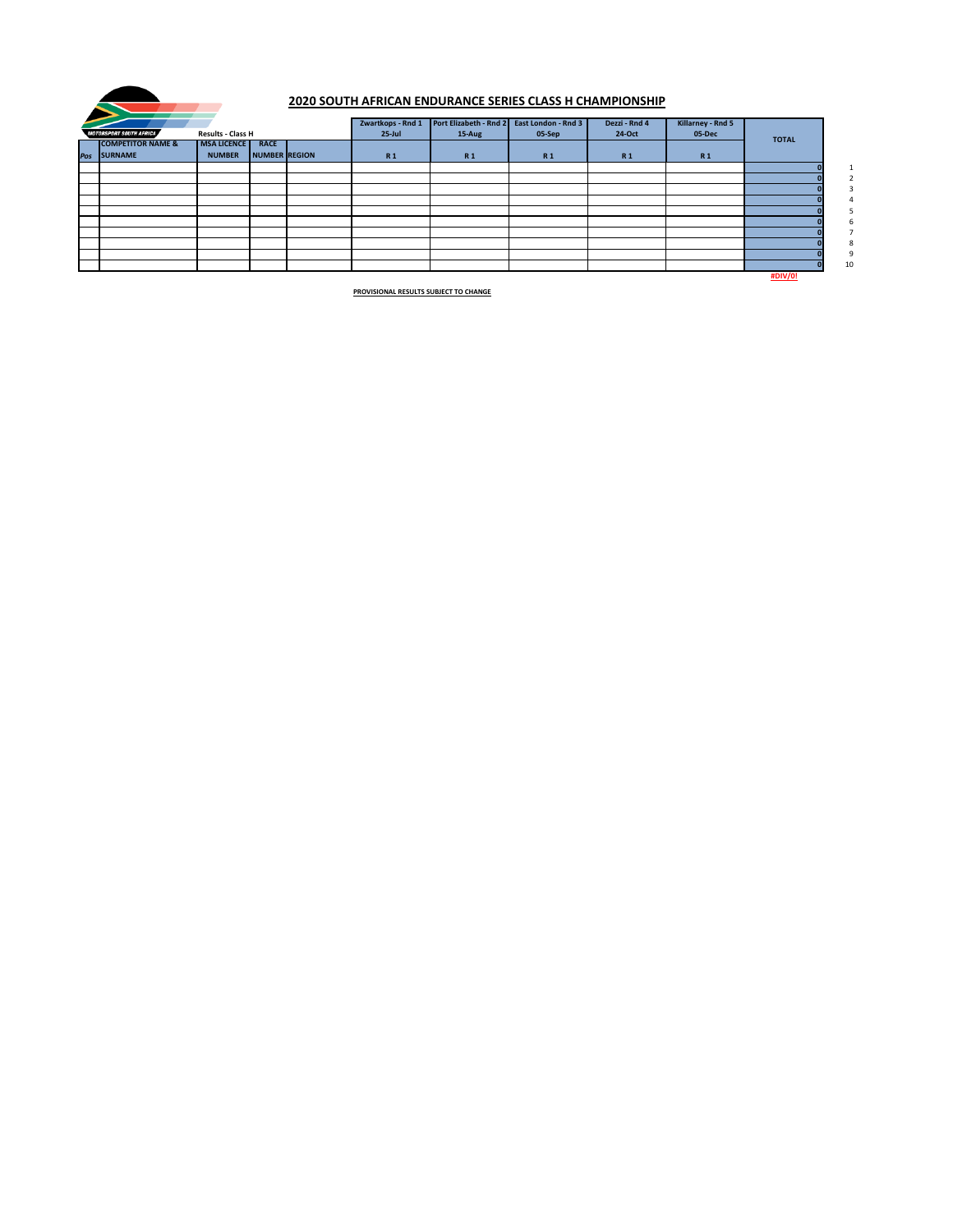|                                |                          |               | Zwartkops - Rnd 1 | Port Elizabeth - Rnd 2 | <b>East London - Rnd 3</b> | Dezzi - Rnd 4 | <b>Killarney - Rnd 5</b> |                |                 |
|--------------------------------|--------------------------|---------------|-------------------|------------------------|----------------------------|---------------|--------------------------|----------------|-----------------|
| <b>MOTORSPORT SOUTH AFRICA</b> | <b>Results - Class H</b> |               | $25$ -Jul         | 15-Aug                 | 05-Sep                     | 24-Oct        | 05-Dec                   | <b>TOTAL</b>   |                 |
| <b>COMPETITOR NAME &amp;</b>   | <b>MSA LICENCE</b>       | <b>RACE</b>   |                   |                        |                            |               |                          |                |                 |
| Pos SURNAME                    | <b>NUMBER</b>            | NUMBER REGION | <b>R1</b>         | <b>R1</b>              | <b>R1</b>                  | <b>R1</b>     | <b>R1</b>                |                |                 |
|                                |                          |               |                   |                        |                            |               |                          |                | $\mathbf{1}$    |
|                                |                          |               |                   |                        |                            |               |                          |                | $\overline{2}$  |
|                                |                          |               |                   |                        |                            |               |                          |                | $\mathbf{3}$    |
|                                |                          |               |                   |                        |                            |               |                          |                | $\overline{4}$  |
|                                |                          |               |                   |                        |                            |               |                          |                |                 |
|                                |                          |               |                   |                        |                            |               |                          |                | b               |
|                                |                          |               |                   |                        |                            |               |                          |                | $7\overline{ }$ |
|                                |                          |               |                   |                        |                            |               |                          |                | 8               |
|                                |                          |               |                   |                        |                            |               |                          |                | 9               |
|                                |                          |               |                   |                        |                            |               |                          |                | 10              |
|                                |                          |               |                   |                        |                            |               |                          | <b>#DIV/0!</b> |                 |



### **2020 SOUTH AFRICAN ENDURANCE SERIES CLASS H CHAMPIONSHIP**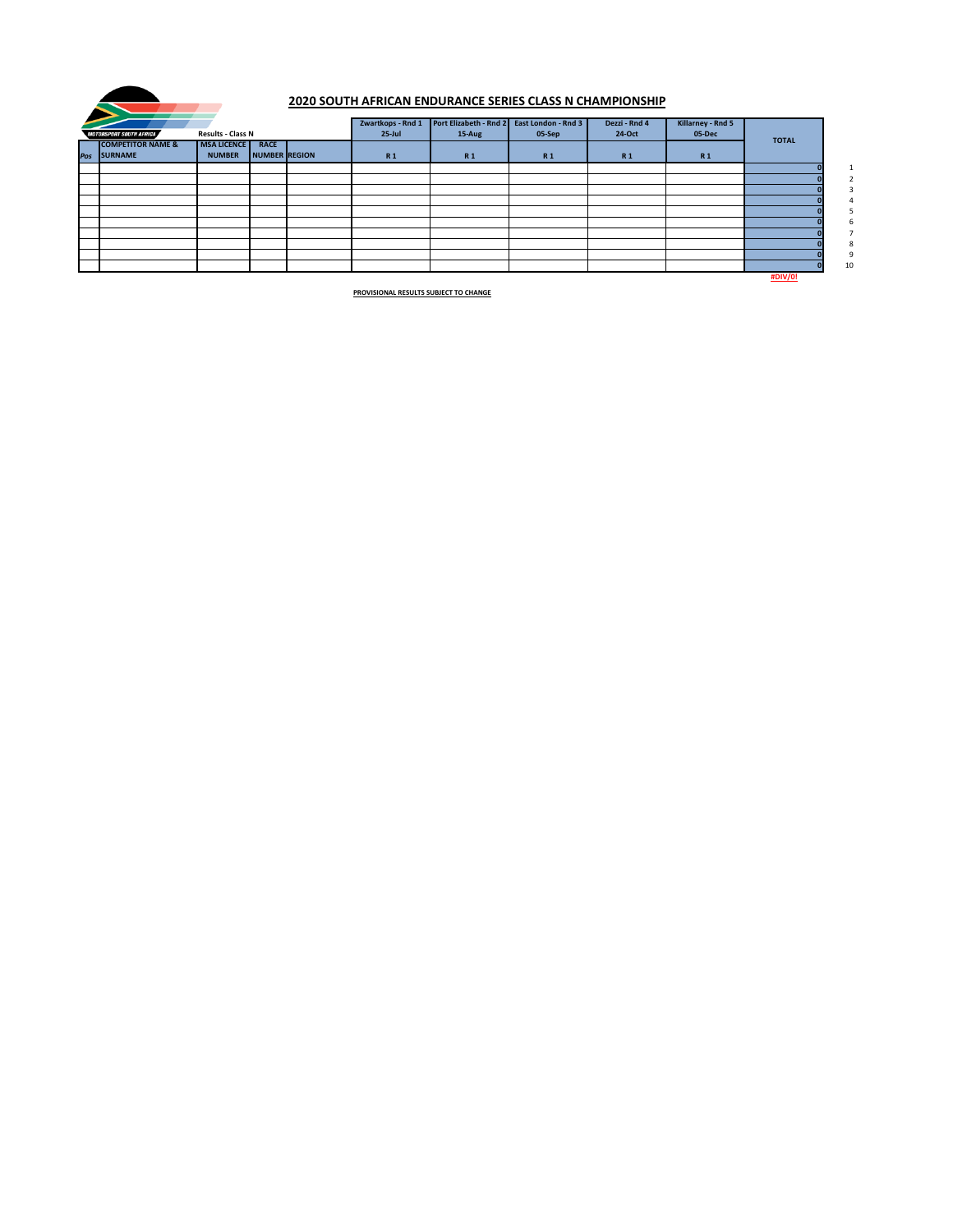|                                |                          |               | Zwartkops - Rnd 1 | Port Elizabeth - Rnd 2 | <b>East London - Rnd 3</b> | Dezzi - Rnd 4 | <b>Killarney - Rnd 5</b> |                |                 |
|--------------------------------|--------------------------|---------------|-------------------|------------------------|----------------------------|---------------|--------------------------|----------------|-----------------|
| <b>MOTORSPORT SOUTH AFRICA</b> | <b>Results - Class N</b> |               | $25$ -Jul         | 15-Aug                 | 05-Sep                     | 24-Oct        | 05-Dec                   | <b>TOTAL</b>   |                 |
| <b>COMPETITOR NAME &amp;</b>   | <b>MSA LICENCE</b>       | <b>RACE</b>   |                   |                        |                            |               |                          |                |                 |
| Pos SURNAME                    | <b>NUMBER</b>            | NUMBER REGION | <b>R1</b>         | <b>R1</b>              | <b>R1</b>                  | <b>R1</b>     | <b>R1</b>                |                |                 |
|                                |                          |               |                   |                        |                            |               |                          |                | $\mathbf{1}$    |
|                                |                          |               |                   |                        |                            |               |                          |                | $2^{\circ}$     |
|                                |                          |               |                   |                        |                            |               |                          |                | 3               |
|                                |                          |               |                   |                        |                            |               |                          |                | 4               |
|                                |                          |               |                   |                        |                            |               |                          |                |                 |
|                                |                          |               |                   |                        |                            |               |                          |                | 6               |
|                                |                          |               |                   |                        |                            |               |                          |                | $7\overline{ }$ |
|                                |                          |               |                   |                        |                            |               |                          |                | 8               |
|                                |                          |               |                   |                        |                            |               |                          |                | 9               |
|                                |                          |               |                   |                        |                            |               |                          |                | 10              |
|                                |                          |               |                   |                        |                            |               |                          | <b>#DIV/0!</b> |                 |



### **2020 SOUTH AFRICAN ENDURANCE SERIES CLASS N CHAMPIONSHIP**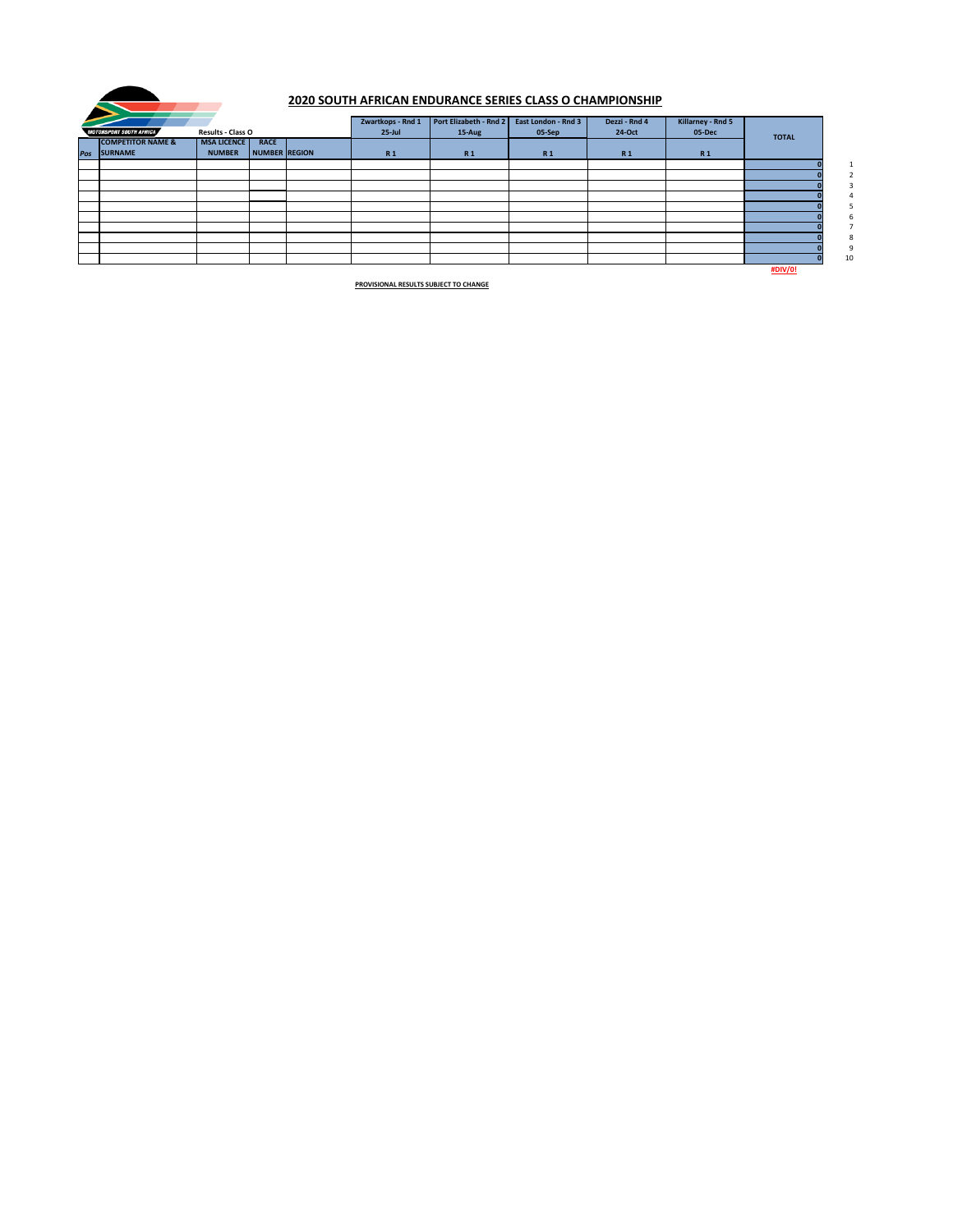| 2020 SOUTH AFRICAN ENDURANCE SERIES CLASS O CHAMPIONSHIP   |                              |               |               |           |                   |                        |                            |               |                   |  |
|------------------------------------------------------------|------------------------------|---------------|---------------|-----------|-------------------|------------------------|----------------------------|---------------|-------------------|--|
|                                                            |                              |               |               |           | Zwartkops - Rnd 1 | Port Elizabeth - Rnd 2 | <b>East London - Rnd 3</b> | Dezzi - Rnd 4 | Killarney - Rnd 5 |  |
| <b>Results - Class O</b><br><b>MOTORSPORT SOUTH AFRICA</b> |                              |               |               | $25$ -Jul | 15-Aug            | 05-Sep                 | 24-Oct                     | 05-Dec        | <b>TOTAL</b>      |  |
|                                                            | <b>COMPETITOR NAME &amp;</b> | MSA LICENCE   | <b>RACE</b>   |           |                   |                        |                            |               |                   |  |
| Pos                                                        | SURNAME                      | <b>NUMBER</b> | NUMBER REGION |           | <b>R1</b>         | <b>R1</b>              | <b>R1</b>                  | <b>R1</b>     | <b>R1</b>         |  |
|                                                            |                              |               |               |           |                   |                        |                            |               |                   |  |
|                                                            |                              |               |               |           |                   |                        |                            |               |                   |  |
|                                                            |                              |               |               |           |                   |                        |                            |               |                   |  |
|                                                            |                              |               |               |           |                   |                        |                            |               |                   |  |
|                                                            |                              |               |               |           |                   |                        |                            |               |                   |  |
|                                                            |                              |               |               |           |                   |                        |                            |               |                   |  |
|                                                            |                              |               |               |           |                   |                        |                            |               |                   |  |
|                                                            |                              |               |               |           |                   |                        |                            |               |                   |  |
|                                                            |                              |               |               |           |                   |                        |                            |               |                   |  |
|                                                            |                              |               |               |           |                   |                        |                            |               |                   |  |

**#DIV/0!**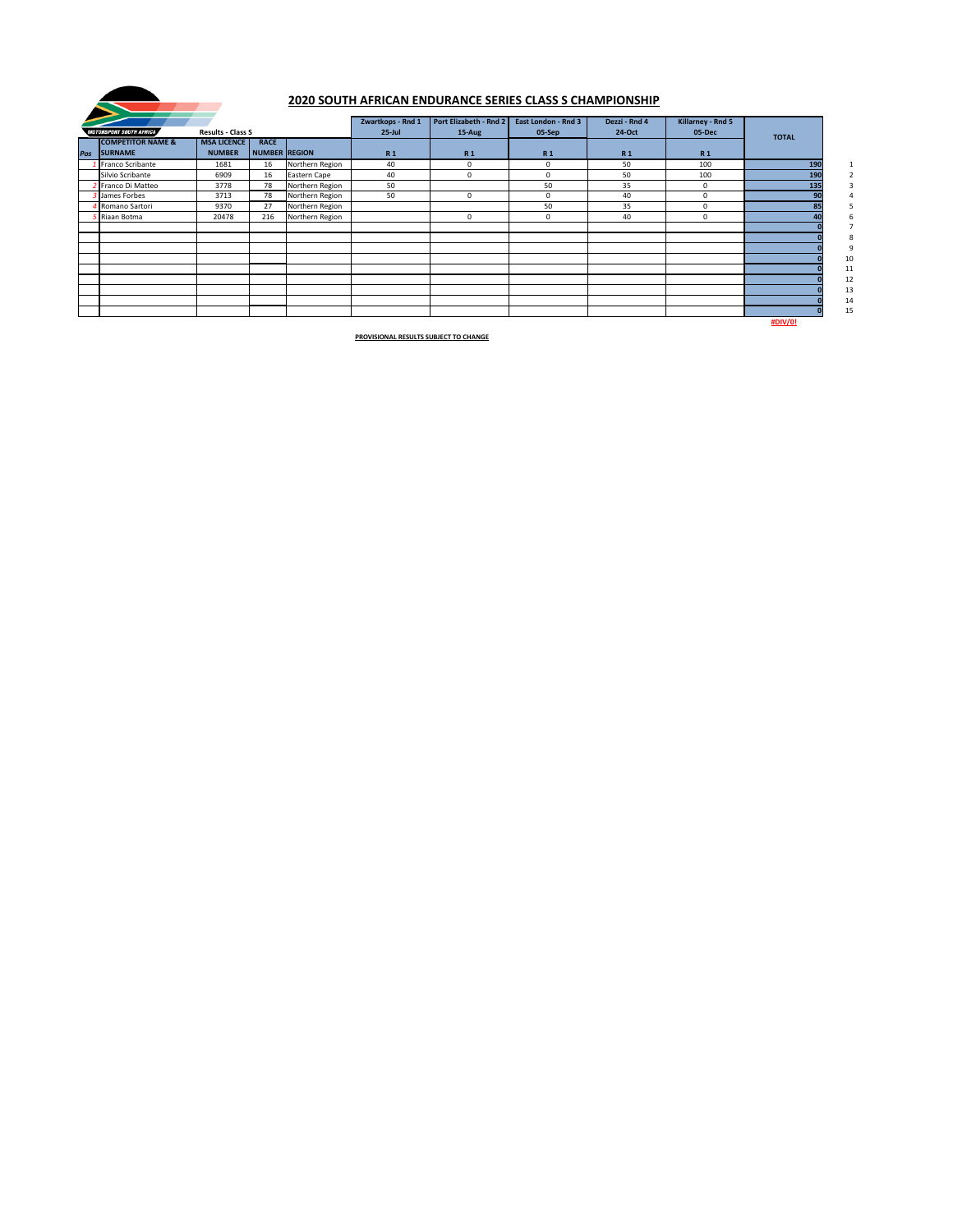| <b>MOTORSPORT SOUTH AFRICA</b><br><b>Results - Class S</b> |                                             |                                     |                                     |                 | Zwartkops - Rnd 1<br>$25$ -Jul | Port Elizabeth - Rnd 2<br>15-Aug | <b>East London - Rnd 3</b><br>05-Sep | Dezzi - Rnd 4<br>24-Oct | <b>Killarney - Rnd 5</b><br>05-Dec | <b>TOTAL</b> |          |
|------------------------------------------------------------|---------------------------------------------|-------------------------------------|-------------------------------------|-----------------|--------------------------------|----------------------------------|--------------------------------------|-------------------------|------------------------------------|--------------|----------|
|                                                            | <b>COMPETITOR NAME &amp;</b><br>Pos SURNAME | <b>MSA LICENCE</b><br><b>NUMBER</b> | <b>RACE</b><br><b>NUMBER REGION</b> |                 | <b>R1</b>                      | <b>R1</b>                        | <b>R1</b>                            | R <sub>1</sub>          | <b>R1</b>                          |              |          |
|                                                            | Franco Scribante                            | 1681                                | 16                                  | Northern Region | 40                             | $\mathbf{0}$                     | $\mathbf 0$                          | 50                      | 100                                | 190          |          |
|                                                            | Silvio Scribante                            | 6909                                | 16                                  | Eastern Cape    | 40                             | $\mathbf 0$                      | $\mathbf 0$                          | 50                      | 100                                | 190          |          |
|                                                            | Franco Di Matteo                            | 3778                                | 78                                  | Northern Region | 50                             |                                  | 50                                   | 35                      | $\mathbf 0$                        | 135          |          |
|                                                            | <b>3</b> James Forbes                       | 3713                                | 78                                  | Northern Region | 50                             | $\mathbf{0}$                     | 0                                    | 40                      | $\mathbf 0$                        |              |          |
|                                                            | <b>Romano Sartori</b>                       | 9370                                | 27                                  | Northern Region |                                |                                  | 50                                   | 35                      | $\mathbf 0$                        |              |          |
|                                                            | <b>Filaan Botma</b>                         | 20478                               | 216                                 | Northern Region |                                | $\mathbf 0$                      | $\mathsf{O}$                         | 40                      | $\mathbf 0$                        |              |          |
|                                                            |                                             |                                     |                                     |                 |                                |                                  |                                      |                         |                                    |              |          |
|                                                            |                                             |                                     |                                     |                 |                                |                                  |                                      |                         |                                    |              |          |
|                                                            |                                             |                                     |                                     |                 |                                |                                  |                                      |                         |                                    |              | 10       |
|                                                            |                                             |                                     |                                     |                 |                                |                                  |                                      |                         |                                    |              | 11       |
|                                                            |                                             |                                     |                                     |                 |                                |                                  |                                      |                         |                                    |              | 12<br>13 |
|                                                            |                                             |                                     |                                     |                 |                                |                                  |                                      |                         |                                    |              | 14       |
|                                                            |                                             |                                     |                                     |                 |                                |                                  |                                      |                         |                                    | H N I/I      | 15       |

**#DIV/0!**



# **2020 SOUTH AFRICAN ENDURANCE SERIES CLASS S CHAMPIONSHIP**